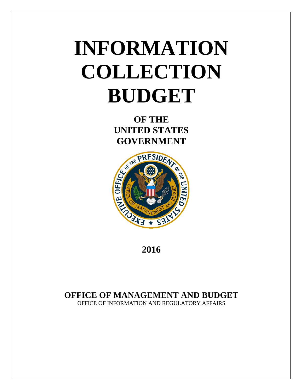# **INFORMATION COLLECTION BUDGET**

**OF THE UNITED STATES GOVERNMENT**



**2016**

# **OFFICE OF MANAGEMENT AND BUDGET**

OFFICE OF INFORMATION AND REGULATORY AFFAIRS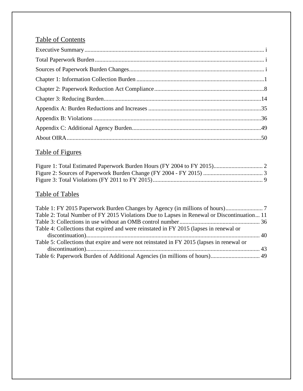# Table of Contents

# Table of Figures

# Table of Tables

| Table 2: Total Number of FY 2015 Violations Due to Lapses in Renewal or Discontinuation 11 |
|--------------------------------------------------------------------------------------------|
|                                                                                            |
| Table 4: Collections that expired and were reinstated in FY 2015 (lapses in renewal or     |
|                                                                                            |
| Table 5: Collections that expire and were not reinstated in FY 2015 (lapses in renewal or  |
|                                                                                            |
| Table 6: Paperwork Burden of Additional Agencies (in millions of hours) 49                 |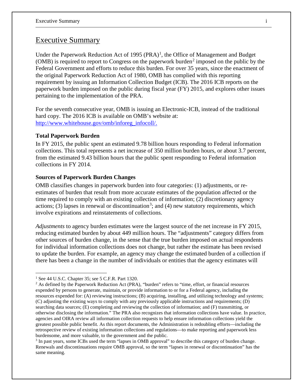## Executive Summary

Under the Paperwork Reduction Act of [1](#page-2-0)995  $(PRA)^1$ , the Office of Management and Budget (OMB) is required to report to Congress on the paperwork burden<sup>[2](#page-2-1)</sup> imposed on the public by the Federal Government and efforts to reduce this burden. For over 35 years, since the enactment of the original Paperwork Reduction Act of 1980, OMB has complied with this reporting requirement by issuing an Information Collection Budget (ICB). The 2016 ICB reports on the paperwork burden imposed on the public during fiscal year (FY) 2015, and explores other issues pertaining to the implementation of the PRA.

For the seventh consecutive year, OMB is issuing an Electronic-ICB, instead of the traditional hard copy. The 2016 ICB is available on OMB's website at: [http://www.whitehouse.gov/omb/inforeg\\_infocoll/.](http://www.whitehouse.gov/omb/inforeg_infocoll/)

#### **Total Paperwork Burden**

In FY 2015, the public spent an estimated 9.78 billion hours responding to Federal information collections. This total represents a net increase of 350 million burden hours, or about 3.7 percent, from the estimated 9.43 billion hours that the public spent responding to Federal information collections in FY 2014.

#### **Sources of Paperwork Burden Changes**

OMB classifies changes in paperwork burden into four categories: (1) adjustments, or reestimates of burden that result from more accurate estimates of the population affected or the time required to comply with an existing collection of information; (2) discretionary agency actions; ([3](#page-2-2)) lapses in renewal or discontinuation<sup>3</sup>; and (4) new statutory requirements, which involve expirations and reinstatements of collections.

*Adjustments* to agency burden estimates were the largest source of the net increase in FY 2015, reducing estimated burden by about 449 million hours. The "adjustments" category differs from other sources of burden change, in the sense that the true burden imposed on actual respondents for individual information collections does not change, but rather the estimate has been revised to update the burden. For example, an agency may change the estimated burden of a collection if there has been a change in the number of individuals or entities that the agency estimates will

 $\overline{a}$ 

<span id="page-2-0"></span><sup>&</sup>lt;sup>1</sup> See 44 U.S.C. Chapter 35; see 5 C.F.R. Part 1320.

<span id="page-2-1"></span><sup>&</sup>lt;sup>2</sup> As defined by the Paperwork Reduction Act (PRA), "burden" refers to "time, effort, or financial resources expended by persons to generate, maintain, or provide information to or for a Federal agency, including the resources expended for: (A) reviewing instructions; (B) acquiring, installing, and utilizing technology and systems; (C) adjusting the existing ways to comply with any previously applicable instructions and requirements; (D) searching data sources; (E) completing and reviewing the collection of information; and (F) transmitting, or otherwise disclosing the information." The PRA also recognizes that information collections have value. In practice, agencies and OIRA review all information collection requests to help ensure information collections yield the greatest possible public benefit. As this report documents, the Administration is redoubling efforts—including the retrospective review of existing information collections and regulations—to make reporting and paperwork less burdensome, and more valuable, to the government and the public.

<span id="page-2-2"></span><sup>3</sup> In past years, some ICBs used the term "lapses in OMB approval" to describe this category of burden change. Renewals and discontinuations require OMB approval, so the term "lapses in renewal or discontinuation" has the same meaning.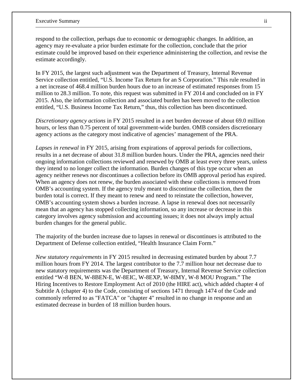respond to the collection, perhaps due to economic or demographic changes. In addition, an agency may re-evaluate a prior burden estimate for the collection, conclude that the prior estimate could be improved based on their experience administering the collection, and revise the estimate accordingly.

In FY 2015, the largest such adjustment was the Department of Treasury, Internal Revenue Service collection entitled, "U.S. Income Tax Return for an S Corporation." This rule resulted in a net increase of 468.4 million burden hours due to an increase of estimated responses from 15 million to 28.3 million. To note, this request was submitted in FY 2014 and concluded on in FY 2015. Also, the information collection and associated burden has been moved to the collection entitled, "U.S. Business Income Tax Return," thus, this collection has been discontinued.

*Discretionary agency actions* in FY 2015 resulted in a net burden decrease of about 69.0 million hours, or less than 0.75 percent of total government-wide burden. OMB considers discretionary agency actions as the category most indicative of agencies' management of the PRA.

*Lapses in renewal* in FY 2015*,* arising from expirations of approval periods for collections, results in a net decrease of about 31.8 million burden hours. Under the PRA, agencies need their ongoing information collections reviewed and renewed by OMB at least every three years, unless they intend to no longer collect the information. Burden changes of this type occur when an agency neither renews nor discontinues a collection before its OMB approval period has expired. When an agency does not renew, the burden associated with these collections is removed from OMB's accounting system. If the agency truly meant to discontinue the collection, then the burden total is correct. If they meant to renew and need to reinstate the collection, however, OMB's accounting system shows a burden increase. A lapse in renewal does not necessarily mean that an agency has stopped collecting information, so any increase or decrease in this category involves agency submission and accounting issues; it does not always imply actual burden changes for the general public.

The majority of the burden increase due to lapses in renewal or discontinues is attributed to the Department of Defense collection entitled, "Health Insurance Claim Form."

*New statutory requirements* in FY 2015 resulted in decreasing estimated burden by about 7.7 million hours from FY 2014. The largest contributor to the 7.7 million hour net decrease due to new statutory requirements was the Department of Treasury, Internal Revenue Service collection entitled "W-8 BEN, W-8BEN-E, W-8EIC, W-8EXP, W-8IMY, W-8 MOU Program." The Hiring Incentives to Restore Employment Act of 2010 (the HIRE act), which added chapter 4 of Subtitle A (chapter 4) to the Code, consisting of sections 1471 through 1474 of the Code and commonly referred to as "FATCA" or "chapter 4" resulted in no change in response and an estimated decrease in burden of 18 million burden hours.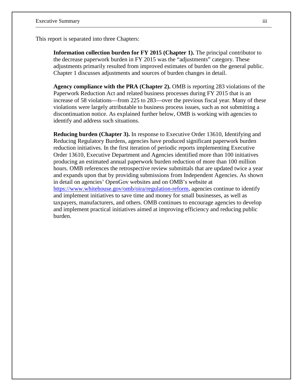This report is separated into three Chapters:

**Information collection burden for FY 2015 (Chapter 1).** The principal contributor to the decrease paperwork burden in FY 2015 was the "adjustments" category. These adjustments primarily resulted from improved estimates of burden on the general public. Chapter 1 discusses adjustments and sources of burden changes in detail.

**Agency compliance with the PRA (Chapter 2).** OMB is reporting 283 violations of the Paperwork Reduction Act and related business processes during FY 2015 that is an increase of 58 violations—from 225 to 283—over the previous fiscal year. Many of these violations were largely attributable to business process issues, such as not submitting a discontinuation notice. As explained further below, OMB is working with agencies to identify and address such situations.

**Reducing burden (Chapter 3).** In response to Executive Order 13610, Identifying and Reducing Regulatory Burdens, agencies have produced significant paperwork burden reduction initiatives. In the first iteration of periodic reports implementing Executive Order 13610, Executive Department and Agencies identified more than 100 initiatives producing an estimated annual paperwork burden reduction of more than 100 million hours. OMB references the retrospective review submittals that are updated twice a year and expands upon that by providing submissions from Independent Agencies. As shown in detail on agencies' OpenGov websites and on OMB's website at [https://www.whitehouse.gov/omb/oira/regulation-reform,](https://www.whitehouse.gov/omb/oira/regulation-reform) agencies continue to identify and implement initiatives to save time and money for small businesses, as well as taxpayers, manufacturers, and others. OMB continues to encourage agencies to develop and implement practical initiatives aimed at improving efficiency and reducing public burden.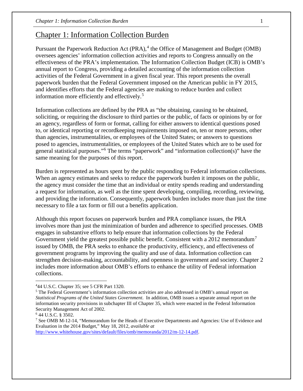## Chapter 1: Information Collection Burden

Pursuant the Paperwork Reduction Act (PRA),<sup>[4](#page-5-0)</sup> the Office of Management and Budget (OMB) oversees agencies' information collection activities and reports to Congress annually on the effectiveness of the PRA's implementation. The Information Collection Budget (ICB) is OMB's annual report to Congress, providing a detailed accounting of the information collection activities of the Federal Government in a given fiscal year. This report presents the overall paperwork burden that the Federal Government imposed on the American public in FY 2015, and identifies efforts that the Federal agencies are making to reduce burden and collect information more efficiently and effectively.<sup>[5](#page-5-1)</sup>

Information collections are defined by the PRA as "the obtaining, causing to be obtained, soliciting, or requiring the disclosure to third parties or the public, of facts or opinions by or for an agency, regardless of form or format, calling for either answers to identical questions posed to, or identical reporting or recordkeeping requirements imposed on, ten or more persons, other than agencies, instrumentalities, or employees of the United States; or answers to questions posed to agencies, instrumentalities, or employees of the United States which are to be used for general statistical purposes."[6](#page-5-2) The terms "paperwork" and "information collection(s)" have the same meaning for the purposes of this report.

Burden is represented as hours spent by the public responding to Federal information collections. When an agency estimates and seeks to reduce the paperwork burden it imposes on the public, the agency must consider the time that an individual or entity spends reading and understanding a request for information, as well as the time spent developing, compiling, recording, reviewing, and providing the information. Consequently, paperwork burden includes more than just the time necessary to file a tax form or fill out a benefits application.

Although this report focuses on paperwork burden and PRA compliance issues, the PRA involves more than just the minimization of burden and adherence to specified processes. OMB engages in substantive efforts to help ensure that information collections by the Federal Government yield the greatest possible public benefit. Consistent with a 2012 memorandum<sup>[7](#page-5-3)</sup> issued by OMB, the PRA seeks to enhance the productivity, efficiency, and effectiveness of government programs by improving the quality and use of data. Information collection can strengthen decision-making, accountability, and openness in government and society. Chapter 2 includes more information about OMB's efforts to enhance the utility of Federal information collections.

 $\overline{a}$ 

[http://www.whitehouse.gov/sites/default/files/omb/memoranda/2012/m-12-14.pdf.](http://www.whitehouse.gov/sites/default/files/omb/memoranda/2012/m-12-14.pdf)

<span id="page-5-0"></span><sup>4</sup> 44 U.S.C. Chapter 35; see 5 CFR Part 1320.

<span id="page-5-1"></span><sup>5</sup> The Federal Government's information collection activities are also addressed in OMB's annual report on *Statistical Programs of the United States Government*. In addition, OMB issues a separate annual report on the information security provisions in subchapter III of Chapter 35, which were enacted in the Federal Information Security Management Act of 2002.

<span id="page-5-2"></span><sup>6</sup> 44 U.S.C. § 3502.

<span id="page-5-3"></span><sup>7</sup> See OMB M-12-14, "Memorandum for the Heads of Executive Departments and Agencies: Use of Evidence and Evaluation in the 2014 Budget," May 18, 2012, *available at*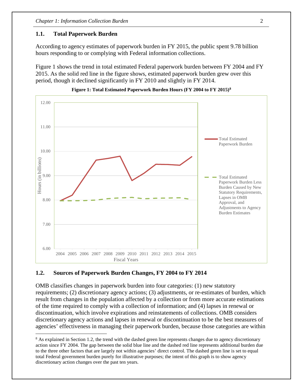#### **1.1. Total Paperwork Burden**

According to agency estimates of paperwork burden in FY 2015, the public spent 9.78 billion hours responding to or complying with Federal information collections.

Figure 1 shows the trend in total estimated Federal paperwork burden between FY 2004 and FY 2015. As the solid red line in the figure shows, estimated paperwork burden grew over this period, though it declined significantly in FY 2010 and slightly in FY 2014.





#### **1.2. Sources of Paperwork Burden Changes, FY 2004 to FY 2014**

 $\overline{a}$ 

OMB classifies changes in paperwork burden into four categories: (1) new statutory requirements; (2) discretionary agency actions; (3) adjustments, or re-estimates of burden, which result from changes in the population affected by a collection or from more accurate estimations of the time required to comply with a collection of information; and (4) lapses in renewal or discontinuation, which involve expirations and reinstatements of collections. OMB considers discretionary agency actions and lapses in renewal or discontinuation to be the best measures of agencies' effectiveness in managing their paperwork burden, because those categories are within

<span id="page-6-0"></span><sup>&</sup>lt;sup>8</sup> As explained in Section 1.2, the trend with the dashed green line represents changes due to agency discretionary action since FY 2004. The gap between the solid blue line and the dashed red line represents additional burden due to the three other factors that are largely not within agencies' direct control. The dashed green line is set to equal total Federal government burden purely for illustrative purposes; the intent of this graph is to show agency discretionary action changes over the past ten years.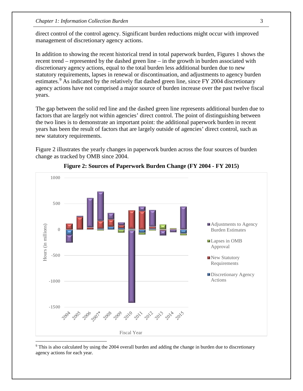direct control of the control agency. Significant burden reductions might occur with improved management of discretionary agency actions.

In addition to showing the recent historical trend in total paperwork burden, Figures 1 shows the recent trend – represented by the dashed green line – in the growth in burden associated with discretionary agency actions, equal to the total burden less additional burden due to new statutory requirements, lapses in renewal or discontinuation, and adjustments to agency burden estimates.<sup>[9](#page-7-0)</sup> As indicated by the relatively flat dashed green line, since FY 2004 discretionary agency actions have not comprised a major source of burden increase over the past twelve fiscal years.

The gap between the solid red line and the dashed green line represents additional burden due to factors that are largely not within agencies' direct control. The point of distinguishing between the two lines is to demonstrate an important point: the additional paperwork burden in recent years has been the result of factors that are largely outside of agencies' direct control, such as new statutory requirements.

Figure 2 illustrates the yearly changes in paperwork burden across the four sources of burden change as tracked by OMB since 2004.



#### **Figure 2: Sources of Paperwork Burden Change (FY 2004 - FY 2015)**

<span id="page-7-0"></span><sup>9</sup> This is also calculated by using the 2004 overall burden and adding the change in burden due to discretionary agency actions for each year.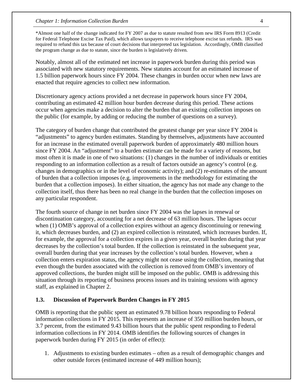\*Almost one half of the change indicated for FY 2007 as due to statute resulted from new IRS Form 8913 (Credit for Federal Telephone Excise Tax Paid), which allows taxpayers to receive telephone excise tax refunds. IRS was required to refund this tax because of court decisions that interpreted tax legislation. Accordingly, OMB classified the program change as due to statute, since the burden is legislatively driven.

Notably, almost all of the estimated net increase in paperwork burden during this period was associated with new statutory requirements. New statutes account for an estimated increase of 1.5 billion paperwork hours since FY 2004. These changes in burden occur when new laws are enacted that require agencies to collect new information.

Discretionary agency actions provided a net decrease in paperwork hours since FY 2004, contributing an estimated 42 million hour burden decrease during this period. These actions occur when agencies make a decision to alter the burden that an existing collection imposes on the public (for example, by adding or reducing the number of questions on a survey).

The category of burden change that contributed the greatest change per year since FY 2004 is "adjustments" to agency burden estimates. Standing by themselves, adjustments have accounted for an increase in the estimated overall paperwork burden of approximately 480 million hours since FY 2004. An "adjustment" to a burden estimate can be made for a variety of reasons, but most often it is made in one of two situations: (1) changes in the number of individuals or entities responding to an information collection as a result of factors outside an agency's control (e.g. changes in demographics or in the level of economic activity); and (2) re-estimates of the amount of burden that a collection imposes (e.g. improvements in the methodology for estimating the burden that a collection imposes). In either situation, the agency has not made any change to the collection itself, thus there has been no real change in the burden that the collection imposes on any particular respondent.

The fourth source of change in net burden since FY 2004 was the lapses in renewal or discontinuation category, accounting for a net decrease of 63 million hours. The lapses occur when (1) OMB's approval of a collection expires without an agency discontinuing or renewing it, which decreases burden, and (2) an expired collection is reinstated, which increases burden. If, for example, the approval for a collection expires in a given year, overall burden during that year decreases by the collection's total burden. If the collection is reinstated in the subsequent year, overall burden during that year increases by the collection's total burden. However, when a collection enters expiration status, the agency might not cease using the collection, meaning that even though the burden associated with the collection is removed from OMB's inventory of approved collections, the burden might still be imposed on the public. OMB is addressing this situation through its reporting of business process issues and its training sessions with agency staff, as explained in Chapter 2.

#### **1.3. Discussion of Paperwork Burden Changes in FY 2015**

OMB is reporting that the public spent an estimated 9.78 billion hours responding to Federal information collections in FY 2015. This represents an increase of 350 million burden hours, or 3.7 percent, from the estimated 9.43 billion hours that the public spent responding to Federal information collections in FY 2014. OMB identifies the following sources of changes in paperwork burden during FY 2015 (in order of effect):

1. Adjustments to existing burden estimates – often as a result of demographic changes and other outside forces (estimated increase of 449 million hours);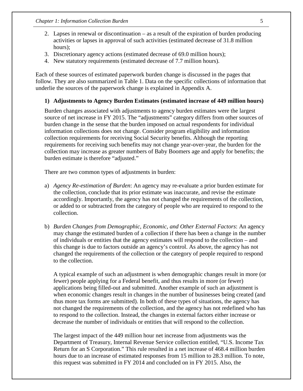- 2. Lapses in renewal or discontinuation as a result of the expiration of burden producing activities or lapses in approval of such activities (estimated decrease of 31.8 million hours);
- 3. Discretionary agency actions (estimated decrease of 69.0 million hours);
- 4. New statutory requirements (estimated decrease of 7.7 million hours).

Each of these sources of estimated paperwork burden change is discussed in the pages that follow. They are also summarized in Table 1. Data on the specific collections of information that underlie the sources of the paperwork change is explained in Appendix A.

#### **1) Adjustments to Agency Burden Estimates (estimated increase of 449 million hours)**

Burden changes associated with adjustments to agency burden estimates were the largest source of net increase in FY 2015. The "adjustments" category differs from other sources of burden change in the sense that the burden imposed on actual respondents for individual information collections does not change. Consider program eligibility and information collection requirements for receiving Social Security benefits. Although the reporting requirements for receiving such benefits may not change year-over-year, the burden for the collection may increase as greater numbers of Baby Boomers age and apply for benefits; the burden estimate is therefore "adjusted."

There are two common types of adjustments in burden:

- a) *Agency Re-estimation of Burden*: An agency may re-evaluate a prior burden estimate for the collection, conclude that its prior estimate was inaccurate, and revise the estimate accordingly. Importantly, the agency has not changed the requirements of the collection, or added to or subtracted from the category of people who are required to respond to the collection.
- b) *Burden Changes from Demographic, Economic, and Other External Factors*: An agency may change the estimated burden of a collection if there has been a change in the number of individuals or entities that the agency estimates will respond to the collection – and this change is due to factors outside an agency's control. As above, the agency has not changed the requirements of the collection or the category of people required to respond to the collection.

A typical example of such an adjustment is when demographic changes result in more (or fewer) people applying for a Federal benefit, and thus results in more (or fewer) applications being filled-out and submitted. Another example of such an adjustment is when economic changes result in changes in the number of businesses being created (and thus more tax forms are submitted). In both of these types of situations, the agency has not changed the requirements of the collection, and the agency has not redefined who has to respond to the collection. Instead, the changes in external factors either increase or decrease the number of individuals or entities that will respond to the collection.

The largest impact of the 449 million hour net increase from adjustments was the Department of Treasury, Internal Revenue Service collection entitled, "U.S. Income Tax Return for an S Corporation." This rule resulted in a net increase of 468.4 million burden hours due to an increase of estimated responses from 15 million to 28.3 million. To note, this request was submitted in FY 2014 and concluded on in FY 2015. Also, the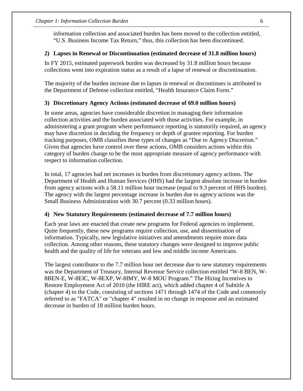information collection and associated burden has been moved to the collection entitled, "U.S. Business Income Tax Return," thus, this collection has been discontinued.

#### **2) Lapses in Renewal or Discontinuation (estimated decrease of 31.8 million hours)**

In FY 2015, estimated paperwork burden was decreased by 31.8 million hours because collections went into expiration status as a result of a lapse of renewal or discontinuation.

The majority of the burden increase due to lapses in renewal or discontinues is attributed to the Department of Defense collection entitled, "Health Insurance Claim Form."

#### **3) Discretionary Agency Actions (estimated decrease of 69.0 million hours)**

In some areas, agencies have considerable discretion in managing their information collection activities and the burden associated with those activities. For example, in administering a grant program where performance reporting is statutorily required, an agency may have discretion in deciding the frequency or depth of grantee reporting. For burden tracking purposes, OMB classifies these types of changes as "Due to Agency Discretion." Given that agencies have control over these actions, OMB considers actions within this category of burden change to be the most appropriate measure of agency performance with respect to information collection.

In total, 17 agencies had net increases in burden from discretionary agency actions. The Department of Health and Human Services (HHS) had the largest absolute increase in burden from agency actions with a 58.11 million hour increase (equal to 9.3 percent of HHS burden). The agency with the largest percentage increase in burden due to agency actions was the Small Business Administration with 30.7 percent (0.33 million hours).

#### **4) New Statutory Requirements (estimated decrease of 7.7 million hours)**

Each year laws are enacted that create new programs for Federal agencies to implement. Quite frequently, these new programs require collection, use, and dissemination of information. Typically, new legislative initiatives and amendments require more data collection. Among other reasons, these statutory changes were designed to improve public health and the quality of life for veterans and low and middle income Americans.

The largest contributor to the 7.7 million hour net decrease due to new statutory requirements was the Department of Treasury, Internal Revenue Service collection entitled "W-8 BEN, W-8BEN-E, W-8EIC, W-8EXP, W-8IMY, W-8 MOU Program." The Hiring Incentives to Restore Employment Act of 2010 (the HIRE act), which added chapter 4 of Subtitle A (chapter 4) to the Code, consisting of sections 1471 through 1474 of the Code and commonly referred to as "FATCA" or "chapter 4" resulted in no change in response and an estimated decrease in burden of 18 million burden hours.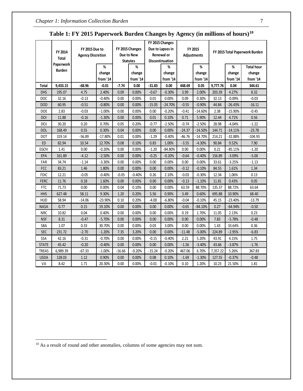|              |               |                          |           |          |                 |          | FY 2015 Changes  |                    |           |          |           |                                |
|--------------|---------------|--------------------------|-----------|----------|-----------------|----------|------------------|--------------------|-----------|----------|-----------|--------------------------------|
|              | FY 2014       | FY 2015 Due to           |           |          | FY 2015 Changes |          | Due to Lapses in |                    | FY 2015   |          |           | FY 2015 Total Paperwork Burden |
|              | <b>Total</b>  | <b>Agency Discretion</b> |           |          | Due to New      |          | Renewal or       | <b>Adjustments</b> |           |          |           |                                |
|              | Paperwork     |                          |           |          | <b>Statutes</b> |          | Discontinuation  |                    |           |          |           |                                |
|              | <b>Burden</b> |                          | %         |          | %               |          | ℅                |                    | %         |          | %         | <b>Total hour</b>              |
|              |               |                          | change    |          | change          |          | change           |                    | change    |          | change    | change                         |
|              |               |                          | from '14  |          | from '14        |          | from '14         |                    | from '14  |          | from '14  | from '14                       |
| <b>Total</b> | 9,433.15      | $-68.96$                 | $-0.01$   | $-7.74$  | 0.00            | $-31.83$ | 0.00             | 448.69             | 0.05      | 9,777.76 | 0.04      | 344.61                         |
| <b>DHS</b>   | 195.07        | 4.75                     | 2.40%     | 0.09     | 0.00%           | $-0.67$  | $-0.30%$         | 3.99               | 2.00%     | 203.39   | 4.27%     | 8.32                           |
| <b>DOC</b>   | 32.16         | $-0.13$                  | $-0.40%$  | 0.00     | 0.00%           | 0.01     | 0.00%            | 0.09               | 0.30%     | 32.13    | $-0.09%$  | $-0.03$                        |
| <b>DOD</b>   | 60.95         | $-0.51$                  | $-0.80%$  | 0.00     | 0.00%           | $-15.05$ | $-24.70%$        | $-0.55$            | $-0.90%$  | 44.84    | $-26.43%$ | $-16.11$                       |
| DOE          | 2.83          | $-0.03$                  | $-1.00%$  | 0.00     | 0.00%           | 0.00     | $-0.20%$         | $-0.41$            | $-14.60%$ | 2.38     | $-15.90%$ | $-0.45$                        |
| <b>DOI</b>   | 11.88         | $-0.16$                  | $-1.30%$  | 0.00     | 0.00%           | 0.01     | 0.10%            | 0.71               | 5.90%     | 12.44    | 4.71%     | 0.56                           |
| DOJ          | 30.20         | 0.20                     | 0.70%     | 0.05     | 0.20%           | $-0.77$  | $-2.50%$         | $-0.74$            | $-2.50%$  | 28.98    | $-4.04%$  | $-1.22$                        |
| <b>DOL</b>   | 168.49        | 0.55                     | 0.30%     | 0.04     | 0.00%           | 0.00     | 0.00%            | $-24.37$           | $-14.50%$ | 144.71   | $-14.11%$ | $-23.78$                       |
| <b>DOT</b>   | 319.14        | $-56.89$                 | $-17.80%$ | 0.01     | 0.00%           | $-1.29$  | $-0.40%$         | $-46.76$           | $-14.70%$ | 214.21   | $-32.88%$ | $-104.93$                      |
| ED           | 82.94         | 10.54                    | 12.70%    | 0.08     | 0.10%           | 0.83     | 1.00%            | $-3.55$            | $-4.30%$  | 90.84    | 9.52%     | 7.90                           |
| <b>EGOV</b>  | 1.41          | 0.00                     | $-0.20%$  | 0.00     | 0.00%           | $-1.20$  | $-84.80%$        | 0.00               | 0.00%     | 0.21     | $-85.11%$ | $-1.20$                        |
| EPA          | 161.89        | $-4.12$                  | $-2.50%$  | 0.00     | 0.00%           | $-0.25$  | $-0.20%$         | $-0.64$            | $-0.40%$  | 156.89   | $-3.09%$  | $-5.00$                        |
| FAR          | 34.74         | $-1.14$                  | $-3.30%$  | 0.00     | 0.00%           | 0.00     | 0.00%            | 0.00               | 0.00%     | 33.61    | $-3.25%$  | $-1.13$                        |
| <b>FCC</b>   | 83.21         | 1.46                     | 1.80%     | 0.00     | 0.00%           | 0.00     | 0.00%            | $-0.12$            | $-0.10%$  | 84.55    | 1.61%     | 1.34                           |
| <b>FDIC</b>  | 12.21         | $-0.05$                  | $-0.40%$  | $-0.05$  | $-0.40%$        | 0.26     | 2.10%            | $-0.03$            | $-0.30%$  | 12.34    | 1.06%     | 0.13                           |
| <b>FERC</b>  | 11.76         | 0.18                     | 1.60%     | 0.00     | 0.00%           | 0.00     | 0.00%            | $-0.13$            | $-1.10%$  | 11.81    | 0.43%     | 0.05                           |
| <b>FTC</b>   | 71.73         | 0.00                     | 0.00%     | 0.04     | 0.10%           | 0.00     | 0.00%            | 63.59              | 88.70%    | 135.37   | 88.72%    | 63.64                          |
| <b>HHS</b>   | 627.48        | 58.11                    | 9.30%     | 1.20     | 0.20%           | 5.56     | 0.90%            | 3.49               | 0.60%     | 695.88   | 10.90%    | 68.40                          |
| <b>HUD</b>   | 58.94         | $-14.06$                 | -23.90%   | 0.10     | 0.20%           | -4.00    | -6.80%           | $-0.04$            | $-0.10\%$ | 45.15    | -23.40%   | $-13.79$                       |
| <b>NASA</b>  | 0.77          | 0.15                     | 19.10%    | 0.00     | 0.00%           | 0.00     | 0.00%            | $-0.65$            | $-84.10%$ | 0.27     | $-64.94%$ | $-0.50$                        |
| <b>NRC</b>   | 10.82         | 0.04                     | 0.40%     | 0.00     | 0.00%           | 0.00     | 0.00%            | 0.19               | 1.70%     | 11.05    | 2.13%     | 0.23                           |
| <b>NSF</b>   | 8.31          | $-0.47$                  | $-5.70%$  | 0.00     | 0.00%           | 0.00     | 0.00%            | 0.00               | 0.00%     | 7.83     | $-5.78%$  | $-0.48$                        |
| SBA          | 1.07          | 0.33                     | 30.70%    | 0.00     | 0.00%           | 0.03     | 3.00%            | 0.00               | 0.00%     | 1.43     | 33.64%    | 0.36                           |
| <b>SEC</b>   | 231.72        | $-2.70$                  | $-1.20%$  | 7.35     | 3.20%           | 0.00     | 0.00%            | $-11.48$           | $-5.00%$  | 224.89   | $-2.95%$  | $-6.83$                        |
| SSA          | 42.16         | $-0.31$                  | $-0.70%$  | 0.00     | 0.00%           | $-0.15$  | $-0.40%$         | 2.21               | 5.20%     | 43.91    | 4.15%     | 1.75                           |
| <b>STATE</b> | 45.42         | $-0.20$                  | $-0.40%$  | 0.00     | 0.00%           | 0.00     | 0.00%            | $-1.56$            | $-3.40%$  | 43.66    | $-3.87%$  | $-1.76$                        |
| <b>TREAS</b> | 6,989.39      | $-67.33$                 | $-1.00%$  | $-16.66$ | $-0.20%$        | $-15.24$ | $-0.20%$         | 467.06             | 6.70%     | 7,357.22 | 5.26%     | 367.83                         |
| <b>USDA</b>  | 128.03        | 1.12                     | 0.90%     | 0.00     | 0.00%           | 0.08     | 0.10%            | $-1.69$            | $-1.30%$  | 127.55   | $-0.37%$  | $-0.48$                        |
| VA           | 8.42          | 1.71                     | 20.30%    | 0.00     | 0.00%           | $-0.01$  | $-0.10%$         | 0.10               | 1.20%     | 10.23    | 21.50%    | 1.81                           |

## **Table 1: FY 2015 Paperwork Burden Changes by Agency (in millions of hours)[10](#page-11-0)**

 $\overline{a}$ 

<span id="page-11-0"></span><sup>&</sup>lt;sup>10</sup> As a result of round and other anomalies, columns of some agencies may not sum.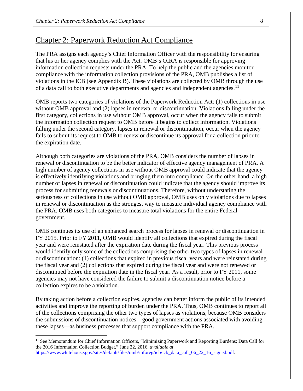## Chapter 2: Paperwork Reduction Act Compliance

The PRA assigns each agency's Chief Information Officer with the responsibility for ensuring that his or her agency complies with the Act. OMB's OIRA is responsible for approving information collection requests under the PRA. To help the public and the agencies monitor compliance with the information collection provisions of the PRA, OMB publishes a list of violations in the ICB (see Appendix B). These violations are collected by OMB through the use of a data call to both executive departments and agencies and independent agencies.<sup>[11](#page-12-0)</sup>

OMB reports two categories of violations of the Paperwork Reduction Act: (1) collections in use without OMB approval and (2) lapses in renewal or discontinuation. Violations falling under the first category, collections in use without OMB approval, occur when the agency fails to submit the information collection request to OMB before it begins to collect information. Violations falling under the second category, lapses in renewal or discontinuation, occur when the agency fails to submit its request to OMB to renew or discontinue its approval for a collection prior to the expiration date.

Although both categories are violations of the PRA, OMB considers the number of lapses in renewal or discontinuation to be the better indicator of effective agency management of PRA. A high number of agency collections in use without OMB approval could indicate that the agency is effectively identifying violations and bringing them into compliance. On the other hand, a high number of lapses in renewal or discontinuation could indicate that the agency should improve its process for submitting renewals or discontinuations. Therefore, without understating the seriousness of collections in use without OMB approval, OMB uses only violations due to lapses in renewal or discontinuation as the strongest way to measure individual agency compliance with the PRA. OMB uses both categories to measure total violations for the entire Federal government.

OMB continues its use of an enhanced search process for lapses in renewal or discontinuation in FY 2015. Prior to FY 2011, OMB would identify all collections that expired during the fiscal year and were reinstated after the expiration date during the fiscal year. This previous process would identify only some of the collections comprising the other two types of lapses in renewal or discontinuation: (1) collections that expired in previous fiscal years and were reinstated during the fiscal year and (2) collections that expired during the fiscal year and were not renewed or discontinued before the expiration date in the fiscal year. As a result, prior to FY 2011, some agencies may not have considered the failure to submit a discontinuation notice before a collection expires to be a violation.

By taking action before a collection expires, agencies can better inform the public of its intended activities and improve the reporting of burden under the PRA. Thus, OMB continues to report all of the collections comprising the other two types of lapses as violations, because OMB considers the submissions of discontinuation notices—good government actions associated with avoiding these lapses—as business processes that support compliance with the PRA.

 $\overline{a}$ 

<span id="page-12-0"></span><sup>11</sup> See Memorandum for Chief Information Officers, "Minimizing Paperwork and Reporting Burdens; Data Call for the 2016 Information Collection Budget," June 22, 2016, *available at* [https://www.whitehouse.gov/sites/default/files/omb/inforeg/icb/icb\\_data\\_call\\_06\\_22\\_16\\_signed.pdf.](https://www.whitehouse.gov/sites/default/files/omb/inforeg/icb/icb_data_call_06_22_16_signed.pdf)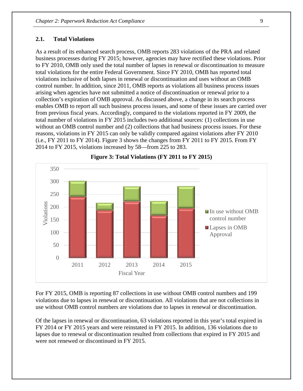#### **2.1. Total Violations**

As a result of its enhanced search process, OMB reports 283 violations of the PRA and related business processes during FY 2015; however, agencies may have rectified these violations. Prior to FY 2010, OMB only used the total number of lapses in renewal or discontinuation to measure total violations for the entire Federal Government. Since FY 2010, OMB has reported total violations inclusive of both lapses in renewal or discontinuation and uses without an OMB control number. In addition, since 2011, OMB reports as violations all business process issues arising when agencies have not submitted a notice of discontinuation or renewal prior to a collection's expiration of OMB approval. As discussed above, a change in its search process enables OMB to report all such business process issues, and some of these issues are carried over from previous fiscal years. Accordingly, compared to the violations reported in FY 2009, the total number of violations in FY 2015 includes two additional sources: (1) collections in use without an OMB control number and (2) collections that had business process issues. For these reasons, violations in FY 2015 can only be validly compared against violations after FY 2010 (i.e., FY 2011 to FY 2014). Figure 3 shows the changes from FY 2011 to FY 2015. From FY 2014 to FY 2015, violations increased by 58—from 225 to 283.



**Figure 3: Total Violations (FY 2011 to FY 2015)** 

For FY 2015, OMB is reporting 87 collections in use without OMB control numbers and 199 violations due to lapses in renewal or discontinuation. All violations that are not collections in use without OMB control numbers are violations due to lapses in renewal or discontinuation.

Of the lapses in renewal or discontinuation, 63 violations reported in this year's total expired in FY 2014 or FY 2015 years and were reinstated in FY 2015. In addition, 136 violations due to lapses due to renewal or discontinuation resulted from collections that expired in FY 2015 and were not renewed or discontinued in FY 2015.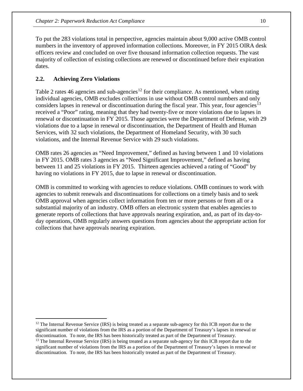To put the 283 violations total in perspective, agencies maintain about 9,000 active OMB control numbers in the inventory of approved information collections. Moreover, in FY 2015 OIRA desk officers review and concluded on over five thousand information collection requests. The vast majority of collection of existing collections are renewed or discontinued before their expiration dates.

#### **2.2. Achieving Zero Violations**

 $\overline{a}$ 

Table 2 rates 46 agencies and sub-agencies<sup>[12](#page-14-0)</sup> for their compliance. As mentioned, when rating individual agencies, OMB excludes collections in use without OMB control numbers and only considers lapses in renewal or discontinuation during the fiscal year. This year, four agencies<sup>[13](#page-14-1)</sup> received a "Poor" rating, meaning that they had twenty-five or more violations due to lapses in renewal or discontinuation in FY 2015. Those agencies were the Department of Defense, with 29 violations due to a lapse in renewal or discontinuation, the Department of Health and Human Services, with 32 such violations, the Department of Homeland Security, with 30 such violations, and the Internal Revenue Service with 29 such violations.

OMB rates 26 agencies as "Need Improvement," defined as having between 1 and 10 violations in FY 2015. OMB rates 3 agencies as "Need Significant Improvement," defined as having between 11 and 25 violations in FY 2015. Thirteen agencies achieved a rating of "Good" by having no violations in FY 2015, due to lapse in renewal or discontinuation.

OMB is committed to working with agencies to reduce violations. OMB continues to work with agencies to submit renewals and discontinuations for collections on a timely basis and to seek OMB approval when agencies collect information from ten or more persons or from all or a substantial majority of an industry. OMB offers an electronic system that enables agencies to generate reports of collections that have approvals nearing expiration, and, as part of its day-today operations, OMB regularly answers questions from agencies about the appropriate action for collections that have approvals nearing expiration.

<span id="page-14-0"></span><sup>&</sup>lt;sup>12</sup> The Internal Revenue Service (IRS) is being treated as a separate sub-agency for this ICB report due to the significant number of violations from the IRS as a portion of the Department of Treasury's lapses in renewal or discontinuation. To note, the IRS has been historically treated as part of the Department of Treasury.

<span id="page-14-1"></span><sup>&</sup>lt;sup>13</sup> The Internal Revenue Service (IRS) is being treated as a separate sub-agency for this ICB report due to the significant number of violations from the IRS as a portion of the Department of Treasury's lapses in renewal or discontinuation. To note, the IRS has been historically treated as part of the Department of Treasury.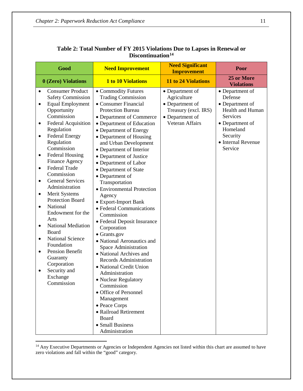| Good                                                                                                                                                                                                                                                                                                                                                                                                                                                                                                                                                                                                                                                                                    | <b>Need Improvement</b>                                                                                                                                                                                                                                                                                                                                                                                                                                                                                                                                                                                                                                                                                                                                                                                                                                                                                | <b>Need Significant</b><br><b>Improvement</b>                                                                   | Poor                                                                                                                                                             |
|-----------------------------------------------------------------------------------------------------------------------------------------------------------------------------------------------------------------------------------------------------------------------------------------------------------------------------------------------------------------------------------------------------------------------------------------------------------------------------------------------------------------------------------------------------------------------------------------------------------------------------------------------------------------------------------------|--------------------------------------------------------------------------------------------------------------------------------------------------------------------------------------------------------------------------------------------------------------------------------------------------------------------------------------------------------------------------------------------------------------------------------------------------------------------------------------------------------------------------------------------------------------------------------------------------------------------------------------------------------------------------------------------------------------------------------------------------------------------------------------------------------------------------------------------------------------------------------------------------------|-----------------------------------------------------------------------------------------------------------------|------------------------------------------------------------------------------------------------------------------------------------------------------------------|
| 0 (Zero) Violations                                                                                                                                                                                                                                                                                                                                                                                                                                                                                                                                                                                                                                                                     | <b>1 to 10 Violations</b>                                                                                                                                                                                                                                                                                                                                                                                                                                                                                                                                                                                                                                                                                                                                                                                                                                                                              | <b>11 to 24 Violations</b>                                                                                      | 25 or More<br><b>Violations</b>                                                                                                                                  |
| <b>Consumer Product</b><br><b>Safety Commission</b><br><b>Equal Employment</b><br>٠<br>Opportunity<br>Commission<br><b>Federal Acquisition</b><br>٠<br>Regulation<br><b>Federal Energy</b><br>٠<br>Regulation<br>Commission<br><b>Federal Housing</b><br>٠<br>Finance Agency<br><b>Federal Trade</b><br>$\bullet$<br>Commission<br><b>General Services</b><br>$\bullet$<br>Administration<br>Merit Systems<br>٠<br>Protection Board<br>National<br>$\bullet$<br>Endowment for the<br>Arts<br><b>National Mediation</b><br>$\bullet$<br>Board<br><b>National Science</b><br>٠<br>Foundation<br>Pension Benefit<br>٠<br>Guaranty<br>Corporation<br>Security and<br>Exchange<br>Commission | • Commodity Futures<br><b>Trading Commission</b><br>• Consumer Financial<br><b>Protection Bureau</b><br>• Department of Commerce<br>• Department of Education<br>• Department of Energy<br>• Department of Housing<br>and Urban Development<br>• Department of Interior<br>• Department of Justice<br>• Department of Labor<br>• Department of State<br>• Department of<br>Transportation<br>• Environmental Protection<br>Agency<br>• Export-Import Bank<br>• Federal Communications<br>Commission<br>• Federal Deposit Insurance<br>Corporation<br>• Grants.gov<br>• National Aeronautics and<br>Space Administration<br>• National Archives and<br><b>Records Administration</b><br>• National Credit Union<br>Administration<br>• Nuclear Regulatory<br>Commission<br>• Office of Personnel<br>Management<br>• Peace Corps<br>• Railroad Retirement<br>Board<br>• Small Business<br>Administration | • Department of<br>Agriculture<br>• Department of<br>Treasury (excl. IRS)<br>• Department of<br>Veteran Affairs | • Department of<br>Defense<br>• Department of<br>Health and Human<br><b>Services</b><br>• Department of<br>Homeland<br>Security<br>• Internal Revenue<br>Service |

#### **Table 2: Total Number of FY 2015 Violations Due to Lapses in Renewal or Discontinuation[14](#page-15-0)**

<span id="page-15-0"></span> $\overline{a}$ <sup>14</sup> Any Executive Departments or Agencies or Independent Agencies not listed within this chart are assumed to have zero violations and fall within the "good" category.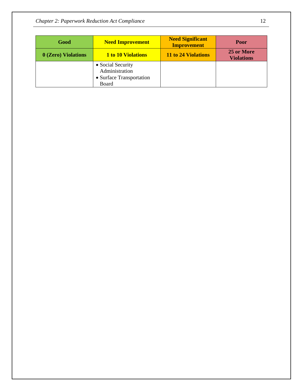*Chapter 2: Paperwork Reduction Act Compliance* 12

| Good                                                                     | <b>Need Improvement</b> | <b>Need Significant</b><br><b>Improvement</b> | <b>Poor</b>                     |
|--------------------------------------------------------------------------|-------------------------|-----------------------------------------------|---------------------------------|
| 0 (Zero) Violations                                                      | 1 to 10 Violations      | 11 to 24 Violations                           | 25 or More<br><b>Violations</b> |
| • Social Security<br>Administration<br>• Surface Transportation<br>Board |                         |                                               |                                 |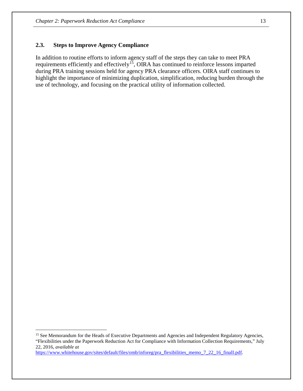#### **2.3. Steps to Improve Agency Compliance**

In addition to routine efforts to inform agency staff of the steps they can take to meet PRA requirements efficiently and effectively[15](#page-17-0), OIRA has continued to reinforce lessons imparted during PRA training sessions held for agency PRA clearance officers. OIRA staff continues to highlight the importance of minimizing duplication, simplification, reducing burden through the use of technology, and focusing on the practical utility of information collected.

[https://www.whitehouse.gov/sites/default/files/omb/inforeg/pra\\_flexibilities\\_memo\\_7\\_22\\_16\\_finalI.pdf.](https://www.whitehouse.gov/sites/default/files/omb/inforeg/pra_flexibilities_memo_7_22_16_finalI.pdf)

 $\overline{a}$ 

<span id="page-17-0"></span><sup>&</sup>lt;sup>15</sup> See Memorandum for the Heads of Executive Departments and Agencies and Independent Regulatory Agencies, "Flexibilities under the Paperwork Reduction Act for Compliance with Information Collection Requirements," July 22, 2016, *available at*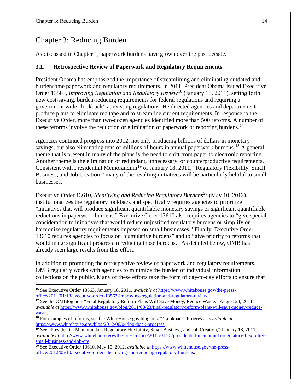## Chapter 3: Reducing Burden

As discussed in Chapter 1, paperwork burdens have grown over the past decade.

#### **3.1. Retrospective Review of Paperwork and Regulatory Requirements**

President Obama has emphasized the importance of streamlining and eliminating outdated and burdensome paperwork and regulatory requirements. In 2011, President Obama issued Executive Order 13563, *Improving Regulation and Regulatory Review*[16](#page-18-0) (January 18, 2011), setting forth new cost-saving, burden-reducing requirements for federal regulations and requiring a government wide "lookback" at existing regulations. He directed agencies and departments to produce plans to eliminate red tape and to streamline current requirements. In response to the Executive Order, more than two-dozen agencies identified more than 500 reforms. A number of these reforms involve the reduction or elimination of paperwork or reporting burdens.<sup>[17](#page-18-1)</sup>

Agencies continued progress into 2012, not only producing billions of dollars in monetary savings, but also eliminating tens of millions of hours in annual paperwork burdens.<sup>[18](#page-18-2)</sup> A general theme that is present in many of the plans is the need to shift from paper to electronic reporting. Another theme is the elimination of redundant, unnecessary, or counterproductive requirements. Consistent with Presidential Memorandum<sup>[19](#page-18-3)</sup> of January 18, 2011, "Regulatory Flexibility, Small Business, and Job Creation," many of the resulting initiatives will be particularly helpful to small businesses.

Executive Order 13610, *Identifying and Reducing Regulatory Burdens*[20](#page-18-4) (May 10, 2012), institutionalizes the regulatory lookback and specifically requires agencies to prioritize "initiatives that will produce significant quantifiable monetary savings or significant quantifiable reductions in paperwork burdens." Executive Order 13610 also requires agencies to "give special consideration to initiatives that would reduce unjustified regulatory burdens or simplify or harmonize regulatory requirements imposed on small businesses." Finally, Executive Order 13610 requires agencies to focus on "cumulative burdens" and to "give priority to reforms that would make significant progress in reducing those burdens." As detailed below, OMB has already seen large results from this effort.

In addition to promoting the retrospective review of paperwork and regulatory requirements, OMB regularly works with agencies to minimize the burden of individual information collections on the public. Many of these efforts take the form of day-to-day efforts to ensure that

<span id="page-18-1"></span><sup>17</sup> See the OMBlog post "Final Regulatory Reform Plans Will Save Money, Reduce Waste," August 23, 2011, *available at* [https://www.whitehouse.gov/blog/2011/08/23/final-regulatory-reform-plans-will-save-money-reduce-](https://www.whitehouse.gov/blog/2011/08/23/final-regulatory-reform-plans-will-save-money-reduce-waste)

<span id="page-18-0"></span><sup>&</sup>lt;sup>16</sup> See Executive Order 13563. January 18, 2011, *available at* https://www.whitehouse.gov/the-press-<br>office/2011/01/18/executive-order-13563-improving-regulation-and-regulatory-review.

<span id="page-18-2"></span>[waste.](https://www.whitehouse.gov/blog/2011/08/23/final-regulatory-reform-plans-will-save-money-reduce-waste)<br><sup>[18](https://www.whitehouse.gov/blog/2011/08/23/final-regulatory-reform-plans-will-save-money-reduce-waste)</sup> For examples of reforms, see the WhiteHouse.gov blog post "'Lookback' Progress'" *available at* https://www.whitehouse.gov/blog/2012/06/04/lookback-progress.

<span id="page-18-3"></span><sup>&</sup>lt;sup>19</sup> See "Presidential Memoranda – Regulatory Flexibility, Small Business, and Job Creation," January 18, 2011, *available at* [http://www.whitehouse.gov/the-press-office/2011/01/18/presidential-memoranda-regulatory-flexibility](http://www.whitehouse.gov/the-press-office/2011/01/18/presidential-memoranda-regulatory-flexibility-small-business-and-job-cre)[small-business-and-job-cre.](http://www.whitehouse.gov/the-press-office/2011/01/18/presidential-memoranda-regulatory-flexibility-small-business-and-job-cre) 20 See Executive Order 13610. May 10, 2012, *available at* [https://www.whitehouse.gov/the-press-](https://www.whitehouse.gov/the-press-office/2012/05/10/executive-order-identifying-and-reducing-regulatory-burdens)

<span id="page-18-4"></span>[office/2012/05/10/executive-order-identifying-and-reducing-regulatory-burdens.](https://www.whitehouse.gov/the-press-office/2012/05/10/executive-order-identifying-and-reducing-regulatory-burdens)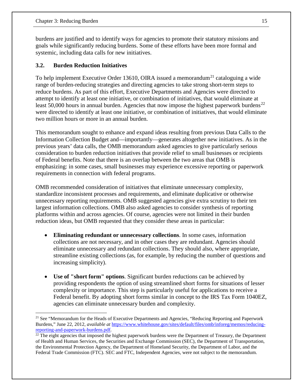burdens are justified and to identify ways for agencies to promote their statutory missions and goals while significantly reducing burdens. Some of these efforts have been more formal and systemic, including data calls for new initiatives.

#### **3.2. Burden Reduction Initiatives**

To help implement Executive Order 13610, OIRA issued a memorandum<sup>[21](#page-19-0)</sup> cataloguing a wide range of burden-reducing strategies and directing agencies to take strong short-term steps to reduce burdens. As part of this effort, Executive Departments and Agencies were directed to attempt to identify at least one initiative, or combination of initiatives, that would eliminate at least 50,000 hours in annual burden. Agencies that now impose the highest paperwork burdens<sup>[22](#page-19-1)</sup> were directed to identify at least one initiative, or combination of initiatives, that would eliminate two million hours or more in an annual burden.

This memorandum sought to enhance and expand ideas resulting from previous Data Calls to the Information Collection Budget and—importantly—generates altogether new initiatives. As in the previous years' data calls, the OMB memorandum asked agencies to give particularly serious consideration to burden reduction initiatives that provide relief to small businesses or recipients of Federal benefits. Note that there is an overlap between the two areas that OMB is emphasizing: in some cases, small businesses may experience excessive reporting or paperwork requirements in connection with federal programs.

OMB recommended consideration of initiatives that eliminate unnecessary complexity, standardize inconsistent processes and requirements, and eliminate duplicative or otherwise unnecessary reporting requirements. OMB suggested agencies give extra scrutiny to their ten largest information collections. OMB also asked agencies to consider synthesis of reporting platforms within and across agencies. Of course, agencies were not limited in their burden reduction ideas, but OMB requested that they consider these areas in particular:

- **Eliminating redundant or unnecessary collections**. In some cases, information collections are not necessary, and in other cases they are redundant. Agencies should eliminate unnecessary and redundant collections. They should also, where appropriate, streamline existing collections (as, for example, by reducing the number of questions and increasing simplicity).
- **Use of "short form" options**. Significant burden reductions can be achieved by providing respondents the option of using streamlined short forms for situations of lesser complexity or importance. This step is particularly useful for applications to receive a Federal benefit. By adopting short forms similar in concept to the IRS Tax Form 1040EZ, agencies can eliminate unnecessary burden and complexity.

<span id="page-19-0"></span><sup>&</sup>lt;sup>21</sup> See "Memorandum for the Heads of Executive Departments and Agencies, "Reducing Reporting and Paperwork Burdens," June 22, 2012, *available at* [https://www.whitehouse.gov/sites/default/files/omb/inforeg/memos/reducing-](https://www.whitehouse.gov/sites/default/files/omb/inforeg/memos/reducing-reporting-and-paperwork-burdens.pdf)

<span id="page-19-1"></span>reporting-and-paperwork-burdens.pdf.<br><sup>22</sup> The eight agencies that imposed the highest paperwork burdens were the Department of Treasury, the Department of Health and Human Services, the Securities and Exchange Commission (SEC), the Department of Transportation, the Environmental Protection Agency, the Department of Homeland Security, the Department of Labor, and the Federal Trade Commission (FTC). SEC and FTC, Independent Agencies, were not subject to the memorandum.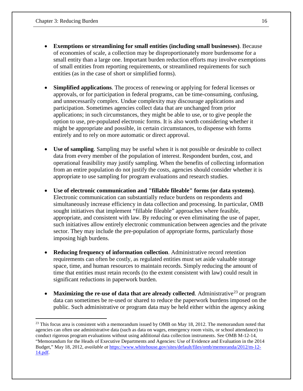- **Exemptions or streamlining for small entities (including small businesses)**. Because of economies of scale, a collection may be disproportionately more burdensome for a small entity than a large one. Important burden reduction efforts may involve exemptions of small entities from reporting requirements, or streamlined requirements for such entities (as in the case of short or simplified forms).
- **Simplified applications**. The process of renewing or applying for federal licenses or approvals, or for participation in federal programs, can be time-consuming, confusing, and unnecessarily complex. Undue complexity may discourage applications and participation. Sometimes agencies collect data that are unchanged from prior applications; in such circumstances, they might be able to use, or to give people the option to use, pre-populated electronic forms. It is also worth considering whether it might be appropriate and possible, in certain circumstances, to dispense with forms entirely and to rely on more automatic or direct approval.
- **Use of sampling**. Sampling may be useful when it is not possible or desirable to collect data from every member of the population of interest. Respondent burden, cost, and operational feasibility may justify sampling. When the benefits of collecting information from an entire population do not justify the costs, agencies should consider whether it is appropriate to use sampling for program evaluations and research studies.
- **Use of electronic communication and "fillable fileable" forms (or data systems)**. Electronic communication can substantially reduce burdens on respondents and simultaneously increase efficiency in data collection and processing. In particular, OMB sought initiatives that implement "fillable fileable" approaches where feasible, appropriate, and consistent with law. By reducing or even eliminating the use of paper, such initiatives allow entirely electronic communication between agencies and the private sector. They may include the pre-population of appropriate forms, particularly those imposing high burdens.
- **Reducing frequency of information collection**. Administrative record retention requirements can often be costly, as regulated entities must set aside valuable storage space, time, and human resources to maintain records. Simply reducing the amount of time that entities must retain records (to the extent consistent with law) could result in significant reductions in paperwork burden.
- **Maximizing the re-use of data that are already collected.** Administrative<sup>23</sup> or program data can sometimes be re-used or shared to reduce the paperwork burdens imposed on the public. Such administrative or program data may be held either within the agency asking

<span id="page-20-0"></span> $23$  This focus area is consistent with a memorandum issued by OMB on May 18, 2012. The memorandum noted that agencies can often use administrative data (such as data on wages, emergency room visits, or school attendance) to conduct rigorous program evaluations without using additional data collection instruments. See OMB M-12-14, "Memorandum for the Heads of Executive Departments and Agencies: Use of Evidence and Evaluation in the 2014 Budget," May 18, 2012, *available at* [https://www.whitehouse.gov/sites/default/files/omb/memoranda/2012/m-12-](https://www.whitehouse.gov/sites/default/files/omb/memoranda/2012/m-12-14.pdf) [14.pdf.](https://www.whitehouse.gov/sites/default/files/omb/memoranda/2012/m-12-14.pdf)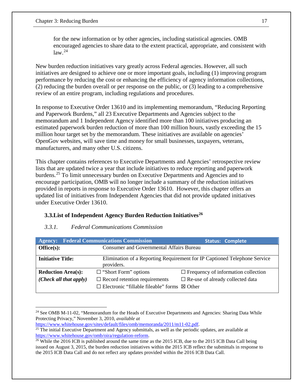for the new information or by other agencies, including statistical agencies. OMB encouraged agencies to share data to the extent practical, appropriate, and consistent with  $law.<sup>24</sup>$  $law.<sup>24</sup>$  $law.<sup>24</sup>$ 

New burden reduction initiatives vary greatly across Federal agencies. However, all such initiatives are designed to achieve one or more important goals, including (1) improving program performance by reducing the cost or enhancing the efficiency of agency information collections, (2) reducing the burden overall or per response on the public, or (3) leading to a comprehensive review of an entire program, including regulations and procedures.

In response to Executive Order 13610 and its implementing memorandum, "Reducing Reporting and Paperwork Burdens," all 23 Executive Departments and Agencies subject to the memorandum and 1 Independent Agency identified more than 100 initiatives producing an estimated paperwork burden reduction of more than 100 million hours, vastly exceeding the 15 million hour target set by the memorandum. These initiatives are available on agencies' OpenGov websites, will save time and money for small businesses, taxpayers, veterans, manufacturers, and many other U.S. citizens.

This chapter contains references to Executive Departments and Agencies' retrospective review lists that are updated twice a year that include initiatives to reduce reporting and paperwork burdens.[25](#page-21-1) To limit unnecessary burden on Executive Departments and Agencies and to encourage participation, OMB will no longer include a summary of the reduction initiatives provided in reports in response to Executive Order 13610. However, this chapter offers an updated list of initiatives from Independent Agencies that did not provide updated initiatives under Executive Order 13610.

#### **3.3.List of Independent Agency Burden Reduction Initiatives[26](#page-21-2)**

#### *3.3.1. Federal Communications Commission*

| <b>Agency:</b>            | <b>Federal Communications Commission</b>                                                | <b>Status: Complete</b>                                      |  |  |  |
|---------------------------|-----------------------------------------------------------------------------------------|--------------------------------------------------------------|--|--|--|
| Office(s):                | <b>Consumer and Governmental Affairs Bureau</b>                                         |                                                              |  |  |  |
| <b>Initiative Title:</b>  | Elimination of a Reporting Requirement for IP Captioned Telephone Service<br>providers. |                                                              |  |  |  |
| <b>Reduction Area(s):</b> | $\Box$ "Short Form" options                                                             | $\Box$ Frequency of information collection                   |  |  |  |
| (Check all that apply)    | $\Box$ Record retention requirements<br>$\Box$ Electronic "fillable fileable" forms     | $\Box$ Re-use of already collected data<br>$\boxtimes$ Other |  |  |  |

<span id="page-21-0"></span> $\overline{a}$ <sup>24</sup> See OMB M-11-02, "Memorandum for the Heads of Executive Departments and Agencies: Sharing Data While Protecting Privacy," November 3, 2010, *available at*

<span id="page-21-1"></span>[https://www.whitehouse.gov/sites/default/files/omb/memoranda/2011/m11-02.pdf.](https://www.whitehouse.gov/sites/default/files/omb/memoranda/2011/m11-02.pdf)<br><sup>25</sup> The initial Executive Department and Agency submittals, as well as the periodic updates, are available at [https://www.whitehouse.gov/omb/oira/regulation-reform.](https://www.whitehouse.gov/omb/oira/regulation-reform)<br><sup>26</sup> While the 2016 ICB is published around the same time as the 2015 ICB, due to the 2015 ICB Data Call being

<span id="page-21-2"></span>issued on August 3, 2015, the burden reduction initiatives within the 2015 ICB reflect the submittals in response to the 2015 ICB Data Call and do not reflect any updates provided within the 2016 ICB Data Call.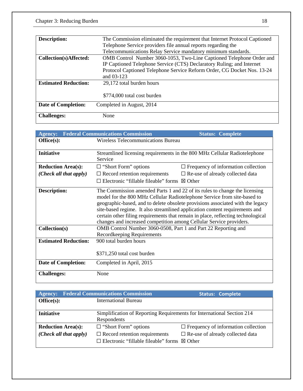| <b>Description:</b>         | The Commission eliminated the requirement that Internet Protocol Captioned                                                                    |  |  |  |
|-----------------------------|-----------------------------------------------------------------------------------------------------------------------------------------------|--|--|--|
|                             | Telephone Service providers file annual reports regarding the                                                                                 |  |  |  |
|                             | Telecommunications Relay Service mandatory minimum standards.                                                                                 |  |  |  |
| Collection(s)Affected:      | OMB Control Number 3060-1053, Two-Line Captioned Telephone Order and<br>IP Captioned Telephone Service (CTS) Declaratory Ruling; and Internet |  |  |  |
|                             | Protocol Captioned Telephone Service Reform Order, CG Docket Nos. 13-24<br>and 03-123                                                         |  |  |  |
| <b>Estimated Reduction:</b> | 29,172 total burden hours                                                                                                                     |  |  |  |
|                             | \$774,000 total cost burden                                                                                                                   |  |  |  |
| <b>Date of Completion:</b>  | Completed in August, 2014                                                                                                                     |  |  |  |
| <b>Challenges:</b>          | None                                                                                                                                          |  |  |  |

| <b>Agency:</b>                                               | <b>Federal Communications Commission</b>                                                                                                                                                             | <b>Status: Complete</b>                                                                                                                                                                                                                                                                                                                                                                                     |  |  |  |  |
|--------------------------------------------------------------|------------------------------------------------------------------------------------------------------------------------------------------------------------------------------------------------------|-------------------------------------------------------------------------------------------------------------------------------------------------------------------------------------------------------------------------------------------------------------------------------------------------------------------------------------------------------------------------------------------------------------|--|--|--|--|
| Office(s):                                                   | <b>Wireless Telecommunications Bureau</b>                                                                                                                                                            |                                                                                                                                                                                                                                                                                                                                                                                                             |  |  |  |  |
|                                                              |                                                                                                                                                                                                      |                                                                                                                                                                                                                                                                                                                                                                                                             |  |  |  |  |
| <b>Initiative</b>                                            | Streamlined licensing requirements in the 800 MHz Cellular Radiotelephone                                                                                                                            |                                                                                                                                                                                                                                                                                                                                                                                                             |  |  |  |  |
|                                                              | Service                                                                                                                                                                                              |                                                                                                                                                                                                                                                                                                                                                                                                             |  |  |  |  |
| <b>Reduction Area(s):</b>                                    | $\Box$ "Short Form" options                                                                                                                                                                          | $\Box$ Frequency of information collection                                                                                                                                                                                                                                                                                                                                                                  |  |  |  |  |
| (Check all that apply)                                       | $\Box$ Record retention requirements                                                                                                                                                                 | $\Box$ Re-use of already collected data                                                                                                                                                                                                                                                                                                                                                                     |  |  |  |  |
|                                                              | $\Box$ Electronic "fillable fileable" forms $\boxtimes$ Other                                                                                                                                        |                                                                                                                                                                                                                                                                                                                                                                                                             |  |  |  |  |
| Description:<br>Collection(s)<br><b>Estimated Reduction:</b> | changes and increased competition among Cellular Service providers.<br>OMB Control Number 3060-0508, Part 1 and Part 22 Reporting and<br><b>Recordkeeping Requirements</b><br>900 total burden hours | The Commission amended Parts 1 and 22 of its rules to change the licensing<br>model for the 800 MHz Cellular Radiotelephone Service from site-based to<br>geographic-based, and to delete obsolete provisions associated with the legacy<br>site-based regime. It also streamlined application content requirements and<br>certain other filing requirements that remain in place, reflecting technological |  |  |  |  |
|                                                              | \$371,250 total cost burden                                                                                                                                                                          |                                                                                                                                                                                                                                                                                                                                                                                                             |  |  |  |  |
| <b>Date of Completion:</b>                                   | Completed in April, 2015                                                                                                                                                                             |                                                                                                                                                                                                                                                                                                                                                                                                             |  |  |  |  |
| <b>Challenges:</b>                                           | None                                                                                                                                                                                                 |                                                                                                                                                                                                                                                                                                                                                                                                             |  |  |  |  |

| <b>Agency:</b>                 | <b>Federal Communications Commission</b>                                        | <b>Status: Complete</b>                    |  |  |
|--------------------------------|---------------------------------------------------------------------------------|--------------------------------------------|--|--|
| Office(s):                     | <b>International Bureau</b>                                                     |                                            |  |  |
|                                |                                                                                 |                                            |  |  |
| <b>Initiative</b>              | Simplification of Reporting Requirements for International Section 214          |                                            |  |  |
|                                | Respondents                                                                     |                                            |  |  |
| <b>Reduction Area(s):</b>      | $\Box$ "Short Form" options                                                     | $\Box$ Frequency of information collection |  |  |
| $(Check \ all \ that \ apply)$ | $\Box$ Record retention requirements<br>$\Box$ Re-use of already collected data |                                            |  |  |
|                                | $\Box$ Electronic "fillable fileable" forms $\boxtimes$ Other                   |                                            |  |  |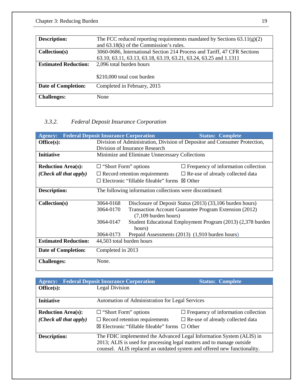| <b>Description:</b>         | The FCC reduced reporting requirements mandated by Sections $63.11(g)(2)$ |  |  |  |
|-----------------------------|---------------------------------------------------------------------------|--|--|--|
|                             | and $63.18(k)$ of the Commission's rules.                                 |  |  |  |
| Collection(s)               | 3060-0686, International Section 214 Process and Tariff, 47 CFR Sections  |  |  |  |
|                             | 63.10, 63.11, 63.13, 63.18, 63.19, 63.21, 63.24, 63.25 and 1.1311         |  |  |  |
| <b>Estimated Reduction:</b> | 2,096 total burden hours                                                  |  |  |  |
|                             |                                                                           |  |  |  |
|                             | \$210,000 total cost burden                                               |  |  |  |
| <b>Date of Completion:</b>  | Completed in February, 2015                                               |  |  |  |
|                             |                                                                           |  |  |  |
| <b>Challenges:</b>          | None                                                                      |  |  |  |
|                             |                                                                           |  |  |  |

## *3.3.2. Federal Deposit Insurance Corporation*

| <b>Agency:</b>              | <b>Federal Deposit Insurance Corporation</b>                               |                                                                                  | <b>Status: Complete</b>                         |  |  |  |
|-----------------------------|----------------------------------------------------------------------------|----------------------------------------------------------------------------------|-------------------------------------------------|--|--|--|
| Office(s):                  | Division of Administration, Division of Depositor and Consumer Protection, |                                                                                  |                                                 |  |  |  |
|                             |                                                                            | Division of Insurance Research                                                   |                                                 |  |  |  |
| <b>Initiative</b>           |                                                                            | Minimize and Eliminate Unnecessary Collections                                   |                                                 |  |  |  |
| <b>Reduction Area(s):</b>   | $\Box$ "Short Form" options<br>$\Box$ Frequency of information collection  |                                                                                  |                                                 |  |  |  |
| (Check all that apply)      |                                                                            | $\Box$ Record retention requirements                                             | $\Box$ Re-use of already collected data         |  |  |  |
|                             |                                                                            | $\Box$ Electronic "fillable fileable" forms $\boxtimes$ Other                    |                                                 |  |  |  |
| Description:                |                                                                            | The following information collections were discontinued:                         |                                                 |  |  |  |
| Collection(s)               | 3064-0168                                                                  | Disclosure of Deposit Status (2013) (33,106 burden hours)                        |                                                 |  |  |  |
|                             | 3064-0170                                                                  | Transaction Account Guarantee Program Extension (2012)<br>$(7,109$ burden hours) |                                                 |  |  |  |
|                             | 3064-0147                                                                  | Student Educational Employment Program (2013) (2,378 burden<br>hours)            |                                                 |  |  |  |
|                             | 3064-0173                                                                  |                                                                                  | Prepaid Assessments (2013) (1,910 burden hours) |  |  |  |
| <b>Estimated Reduction:</b> | 44,503 total burden hours                                                  |                                                                                  |                                                 |  |  |  |
| <b>Date of Completion:</b>  | Completed in 2013                                                          |                                                                                  |                                                 |  |  |  |
| <b>Challenges:</b>          | None.                                                                      |                                                                                  |                                                 |  |  |  |

| <b>Agency:</b>            | <b>Federal Deposit Insurance Corporation</b>                                                                                                      | <b>Status: Complete</b>                    |
|---------------------------|---------------------------------------------------------------------------------------------------------------------------------------------------|--------------------------------------------|
| Office(s):                | <b>Legal Division</b>                                                                                                                             |                                            |
|                           |                                                                                                                                                   |                                            |
| <b>Initiative</b>         | Automation of Administration for Legal Services                                                                                                   |                                            |
|                           |                                                                                                                                                   |                                            |
| <b>Reduction Area(s):</b> | $\Box$ "Short Form" options                                                                                                                       | $\Box$ Frequency of information collection |
| (Check all that apply)    | $\Box$ Record retention requirements                                                                                                              | $\Box$ Re-use of already collected data    |
|                           | ⊠ Electronic "fillable fileable" forms $□$ Other                                                                                                  |                                            |
| <b>Description:</b>       | The FDIC implemented the Advanced Legal Information System (ALIS) in                                                                              |                                            |
|                           | 2013; ALIS is used for processing legal matters and to manage outside<br>counsel. ALIS replaced an outdated system and offered new functionality. |                                            |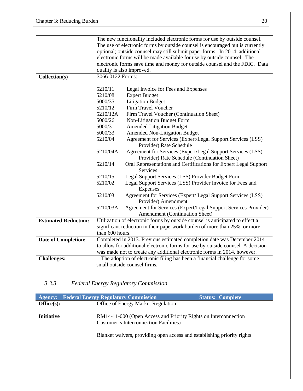|                             |                                                                             | The new functionality included electronic forms for use by outside counsel.     |  |
|-----------------------------|-----------------------------------------------------------------------------|---------------------------------------------------------------------------------|--|
|                             |                                                                             | The use of electronic forms by outside counsel is encouraged but is currently   |  |
|                             |                                                                             | optional; outside counsel may still submit paper forms. In 2014, additional     |  |
|                             |                                                                             | electronic forms will be made available for use by outside counsel. The         |  |
|                             |                                                                             | electronic forms save time and money for outside counsel and the FDIC. Data     |  |
|                             | quality is also improved.                                                   |                                                                                 |  |
| Collection(s)               | 3066-0122 Forms:                                                            |                                                                                 |  |
|                             |                                                                             |                                                                                 |  |
|                             | 5210/11                                                                     | Legal Invoice for Fees and Expenses                                             |  |
|                             | 5210/08                                                                     | <b>Expert Budget</b>                                                            |  |
|                             | 5000/35                                                                     | <b>Litigation Budget</b>                                                        |  |
|                             | 5210/12                                                                     | Firm Travel Voucher                                                             |  |
|                             | 5210/12A                                                                    | Firm Travel Voucher (Continuation Sheet)                                        |  |
|                             | 5000/26                                                                     | Non-Litigation Budget Form                                                      |  |
|                             | 5000/31                                                                     | <b>Amended Litigation Budget</b>                                                |  |
|                             | 5000/33                                                                     | <b>Amended Non-Litigation Budget</b>                                            |  |
|                             | 5210/04                                                                     | Agreement for Services (Expert/Legal Support Services (LSS)                     |  |
|                             |                                                                             | Provider) Rate Schedule                                                         |  |
|                             | 5210/04A<br>Agreement for Services (Expert/Legal Support Services (LSS)     |                                                                                 |  |
|                             | Provider) Rate Schedule (Continuation Sheet)                                |                                                                                 |  |
|                             | 5210/14<br>Oral Representations and Certifications for Expert Legal Support |                                                                                 |  |
|                             | <b>Services</b>                                                             |                                                                                 |  |
|                             | 5210/15                                                                     | Legal Support Services (LSS) Provider Budget Form                               |  |
|                             | 5210/02<br>Legal Support Services (LSS) Provider Invoice for Fees and       |                                                                                 |  |
|                             | Expenses                                                                    |                                                                                 |  |
|                             | 5210/03<br>Agreement for Services (Expert/ Legal Support Services (LSS)     |                                                                                 |  |
|                             | Provider) Amendment                                                         |                                                                                 |  |
|                             | 5210/03A<br>Agreement for Services (Expert/Legal Support Services Provider) |                                                                                 |  |
|                             |                                                                             | Amendment (Continuation Sheet)                                                  |  |
| <b>Estimated Reduction:</b> |                                                                             | Utilization of electronic forms by outside counsel is anticipated to effect a   |  |
|                             |                                                                             | significant reduction in their paperwork burden of more than 25%, or more       |  |
|                             | than 600 hours.                                                             |                                                                                 |  |
| Date of Completion:         | Completed in 2013. Previous estimated completion date was December 2014     |                                                                                 |  |
|                             |                                                                             | to allow for additional electronic forms for use by outside counsel. A decision |  |
|                             | was made not to create any additional electronic forms in 2014, however.    |                                                                                 |  |
| <b>Challenges:</b>          |                                                                             | The adoption of electronic filing has been a financial challenge for some       |  |
|                             |                                                                             | small outside counsel firms.                                                    |  |

## *3.3.3. Federal Energy Regulatory Commission*

|                       | <b>Agency:</b> Federal Energy Regulatory Commission                     | <b>Status: Complete</b> |
|-----------------------|-------------------------------------------------------------------------|-------------------------|
| $\textbf{Office}(s):$ | Office of Energy Market Regulation                                      |                         |
|                       |                                                                         |                         |
| <b>Initiative</b>     | RM14-11-000 (Open Access and Priority Rights on Interconnection         |                         |
|                       | <b>Customer's Interconnection Facilities</b> )                          |                         |
|                       | Blanket waivers, providing open access and establishing priority rights |                         |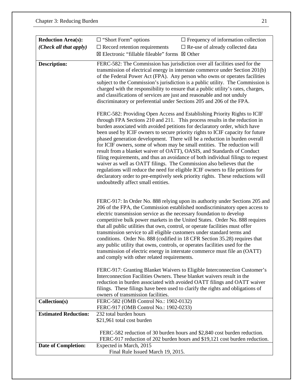| <b>Reduction Area(s):</b>   | $\Box$ "Short Form" options                                                                                                                                                                                                                                                                                                                                                                                                                                                                                                                                                                                                                                                                                                                                                                                                                                                                                                       | $\Box$ Frequency of information collection                                                                                                                                                                                                                                                                                                                                                             |
|-----------------------------|-----------------------------------------------------------------------------------------------------------------------------------------------------------------------------------------------------------------------------------------------------------------------------------------------------------------------------------------------------------------------------------------------------------------------------------------------------------------------------------------------------------------------------------------------------------------------------------------------------------------------------------------------------------------------------------------------------------------------------------------------------------------------------------------------------------------------------------------------------------------------------------------------------------------------------------|--------------------------------------------------------------------------------------------------------------------------------------------------------------------------------------------------------------------------------------------------------------------------------------------------------------------------------------------------------------------------------------------------------|
| (Check all that apply)      | $\Box$ Record retention requirements                                                                                                                                                                                                                                                                                                                                                                                                                                                                                                                                                                                                                                                                                                                                                                                                                                                                                              | $\square$ Re-use of already collected data                                                                                                                                                                                                                                                                                                                                                             |
|                             | $\boxtimes$ Electronic "fillable fileable" forms $\boxtimes$ Other                                                                                                                                                                                                                                                                                                                                                                                                                                                                                                                                                                                                                                                                                                                                                                                                                                                                |                                                                                                                                                                                                                                                                                                                                                                                                        |
| <b>Description:</b>         | FERC-582: The Commission has jurisdiction over all facilities used for the<br>transmission of electrical energy in interstate commerce under Section 201(b)<br>of the Federal Power Act (FPA). Any person who owns or operates facilities<br>subject to the Commission's jurisdiction is a public utility. The Commission is<br>charged with the responsibility to ensure that a public utility's rates, charges,<br>and classifications of services are just and reasonable and not unduly<br>discriminatory or preferential under Sections 205 and 206 of the FPA.                                                                                                                                                                                                                                                                                                                                                              |                                                                                                                                                                                                                                                                                                                                                                                                        |
|                             | FERC-582: Providing Open Access and Establishing Priority Rights to ICIF<br>through FPA Sections 210 and 211. This process results in the reduction in<br>burden associated with avoided petitions for declaratory order, which have<br>been used by ICIF owners to secure priority rights to ICIF capacity for future<br>phased generation development. There will be a reduction in burden overall<br>for ICIF owners, some of whom may be small entities. The reduction will<br>result from a blanket waiver of OATT), OASIS, and Standards of Conduct<br>filing requirements, and thus an avoidance of both individual filings to request<br>waiver as well as OATT filings. The Commission also believes that the<br>regulations will reduce the need for eligible ICIF owners to file petitions for<br>declaratory order to pre-emptively seek priority rights. These reductions will<br>undoubtedly affect small entities. |                                                                                                                                                                                                                                                                                                                                                                                                        |
|                             | electric transmission service as the necessary foundation to develop<br>that all public utilities that own, control, or operate facilities must offer<br>transmission service to all eligible customers under standard terms and<br>any public utility that owns, controls, or operates facilities used for the<br>and comply with other related requirements.                                                                                                                                                                                                                                                                                                                                                                                                                                                                                                                                                                    | FERC-917: In Order No. 888 relying upon its authority under Sections 205 and<br>206 of the FPA, the Commission established nondiscriminatory open access to<br>competitive bulk power markets in the United States. Order No. 888 requires<br>conditions. Order No. 888 (codified in 18 CFR Section 35.28) requires that<br>transmission of electric energy in interstate commerce must file an (OATT) |
|                             | Interconnection Facilities Owners. These blanket waivers result in the<br>owners of transmission facilities.                                                                                                                                                                                                                                                                                                                                                                                                                                                                                                                                                                                                                                                                                                                                                                                                                      | FERC-917: Granting Blanket Waivers to Eligible Interconnection Customer's<br>reduction in burden associated with avoided OATT filings and OATT waiver<br>filings. These filings have been used to clarify the rights and obligations of                                                                                                                                                                |
| Collection(s)               | FERC-582 (OMB Control No.: 1902-0132)                                                                                                                                                                                                                                                                                                                                                                                                                                                                                                                                                                                                                                                                                                                                                                                                                                                                                             |                                                                                                                                                                                                                                                                                                                                                                                                        |
|                             | FERC-917 (OMB Control No.: 1902-0233)                                                                                                                                                                                                                                                                                                                                                                                                                                                                                                                                                                                                                                                                                                                                                                                                                                                                                             |                                                                                                                                                                                                                                                                                                                                                                                                        |
| <b>Estimated Reduction:</b> | 232 total burden hours                                                                                                                                                                                                                                                                                                                                                                                                                                                                                                                                                                                                                                                                                                                                                                                                                                                                                                            |                                                                                                                                                                                                                                                                                                                                                                                                        |
|                             | \$21,961 total cost burden                                                                                                                                                                                                                                                                                                                                                                                                                                                                                                                                                                                                                                                                                                                                                                                                                                                                                                        |                                                                                                                                                                                                                                                                                                                                                                                                        |
|                             |                                                                                                                                                                                                                                                                                                                                                                                                                                                                                                                                                                                                                                                                                                                                                                                                                                                                                                                                   | FERC-582 reduction of 30 burden hours and \$2,840 cost burden reduction.<br>FERC-917 reduction of 202 burden hours and \$19,121 cost burden reduction.                                                                                                                                                                                                                                                 |
| <b>Date of Completion:</b>  | Expected in March, 2015                                                                                                                                                                                                                                                                                                                                                                                                                                                                                                                                                                                                                                                                                                                                                                                                                                                                                                           |                                                                                                                                                                                                                                                                                                                                                                                                        |
|                             | Final Rule Issued March 19, 2015.                                                                                                                                                                                                                                                                                                                                                                                                                                                                                                                                                                                                                                                                                                                                                                                                                                                                                                 |                                                                                                                                                                                                                                                                                                                                                                                                        |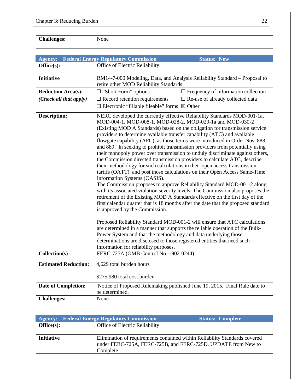**Challenges:** None

| <b>Agency:</b>              | <b>Federal Energy Regulatory Commission</b><br><b>Status: New</b>                                                                                                                                                                                                                                                                                                                                                                                                                                                                                                                                                                                                                                                                                                                                                                                                                                                                                                                                                                                                                                                                                                                               |  |
|-----------------------------|-------------------------------------------------------------------------------------------------------------------------------------------------------------------------------------------------------------------------------------------------------------------------------------------------------------------------------------------------------------------------------------------------------------------------------------------------------------------------------------------------------------------------------------------------------------------------------------------------------------------------------------------------------------------------------------------------------------------------------------------------------------------------------------------------------------------------------------------------------------------------------------------------------------------------------------------------------------------------------------------------------------------------------------------------------------------------------------------------------------------------------------------------------------------------------------------------|--|
| Office(s):                  | Office of Electric Reliability                                                                                                                                                                                                                                                                                                                                                                                                                                                                                                                                                                                                                                                                                                                                                                                                                                                                                                                                                                                                                                                                                                                                                                  |  |
|                             |                                                                                                                                                                                                                                                                                                                                                                                                                                                                                                                                                                                                                                                                                                                                                                                                                                                                                                                                                                                                                                                                                                                                                                                                 |  |
| <b>Initiative</b>           | RM14-7-000 Modeling, Data, and Analysis Reliability Standard - Proposal to<br>retire other MOD Reliability Standards                                                                                                                                                                                                                                                                                                                                                                                                                                                                                                                                                                                                                                                                                                                                                                                                                                                                                                                                                                                                                                                                            |  |
| <b>Reduction Area(s):</b>   | $\Box$ "Short Form" options<br>$\Box$ Frequency of information collection                                                                                                                                                                                                                                                                                                                                                                                                                                                                                                                                                                                                                                                                                                                                                                                                                                                                                                                                                                                                                                                                                                                       |  |
| (Check all that apply)      | $\Box$ Record retention requirements<br>$\square$ Re-use of already collected data                                                                                                                                                                                                                                                                                                                                                                                                                                                                                                                                                                                                                                                                                                                                                                                                                                                                                                                                                                                                                                                                                                              |  |
|                             | $\Box$ Electronic "fillable fileable" forms $\boxtimes$ Other                                                                                                                                                                                                                                                                                                                                                                                                                                                                                                                                                                                                                                                                                                                                                                                                                                                                                                                                                                                                                                                                                                                                   |  |
|                             |                                                                                                                                                                                                                                                                                                                                                                                                                                                                                                                                                                                                                                                                                                                                                                                                                                                                                                                                                                                                                                                                                                                                                                                                 |  |
| <b>Description:</b>         | NERC developed the currently effective Reliability Standards MOD-001-1a,<br>MOD-004-1, MOD-008-1, MOD-028-2, MOD-029-1a and MOD-030-2<br>(Existing MOD A Standards) based on the obligation for transmission service<br>providers to determine available transfer capability (ATC) and available<br>flowgate capability (AFC), as those terms were introduced in Order Nos. 888<br>and 889. In seeking to prohibit transmission providers from potentially using<br>their monopoly power over transmission to unduly discriminate against others,<br>the Commission directed transmission providers to calculate ATC, describe<br>their methodology for such calculations in their open access transmission<br>tariffs (OATT), and post those calculations on their Open Access Same-Time<br>Information Systems (OASIS).<br>The Commission proposes to approve Reliability Standard MOD-001-2 along<br>with its associated violation severity levels. The Commission also proposes the<br>retirement of the Existing MOD A Standards effective on the first day of the<br>first calendar quarter that is 18 months after the date that the proposed standard<br>is approved by the Commission. |  |
|                             | Proposed Reliability Standard MOD-001-2 will ensure that ATC calculations<br>are determined in a manner that supports the reliable operation of the Bulk-<br>Power System and that the methodology and data underlying those<br>determinations are disclosed to those registered entities that need such<br>information for reliability purposes.                                                                                                                                                                                                                                                                                                                                                                                                                                                                                                                                                                                                                                                                                                                                                                                                                                               |  |
| Collection(s)               | FERC-725A (OMB Control No. 1902-0244)                                                                                                                                                                                                                                                                                                                                                                                                                                                                                                                                                                                                                                                                                                                                                                                                                                                                                                                                                                                                                                                                                                                                                           |  |
| <b>Estimated Reduction:</b> | 4,629 total burden hours                                                                                                                                                                                                                                                                                                                                                                                                                                                                                                                                                                                                                                                                                                                                                                                                                                                                                                                                                                                                                                                                                                                                                                        |  |
|                             | \$275,980 total cost burden                                                                                                                                                                                                                                                                                                                                                                                                                                                                                                                                                                                                                                                                                                                                                                                                                                                                                                                                                                                                                                                                                                                                                                     |  |
| Date of Completion:         | Notice of Proposed Rulemaking published June 19, 2015. Final Rule date to<br>be determined.                                                                                                                                                                                                                                                                                                                                                                                                                                                                                                                                                                                                                                                                                                                                                                                                                                                                                                                                                                                                                                                                                                     |  |
| <b>Challenges:</b>          | None                                                                                                                                                                                                                                                                                                                                                                                                                                                                                                                                                                                                                                                                                                                                                                                                                                                                                                                                                                                                                                                                                                                                                                                            |  |

|                   | <b>Agency:</b> Federal Energy Regulatory Commission | <b>Status: Complete</b>                                                                                                                     |
|-------------------|-----------------------------------------------------|---------------------------------------------------------------------------------------------------------------------------------------------|
| Office(s):        | Office of Electric Reliability                      |                                                                                                                                             |
|                   |                                                     |                                                                                                                                             |
| <b>Initiative</b> |                                                     | Elimination of requirements contained within Reliability Standards covered<br>under FERC-725A, FERC-725B, and FERC-725D. UPDATE from New to |
|                   | Complete                                            |                                                                                                                                             |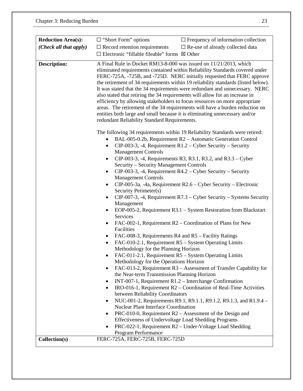| <b>Reduction Area(s):</b> | $\Box$ "Short Form" options<br>$\Box$ Frequency of information collection                                                                                                                                                                                                                                                                                                                                                                                                                                                                                                                                                                                                                                                                                                                                                                                                                                                                                                                                                                                                                                                                                                                                                                                                                                                                                                                                                                                                                                                                                                                                                                                                                                                                                                               |  |
|---------------------------|-----------------------------------------------------------------------------------------------------------------------------------------------------------------------------------------------------------------------------------------------------------------------------------------------------------------------------------------------------------------------------------------------------------------------------------------------------------------------------------------------------------------------------------------------------------------------------------------------------------------------------------------------------------------------------------------------------------------------------------------------------------------------------------------------------------------------------------------------------------------------------------------------------------------------------------------------------------------------------------------------------------------------------------------------------------------------------------------------------------------------------------------------------------------------------------------------------------------------------------------------------------------------------------------------------------------------------------------------------------------------------------------------------------------------------------------------------------------------------------------------------------------------------------------------------------------------------------------------------------------------------------------------------------------------------------------------------------------------------------------------------------------------------------------|--|
| (Check all that apply)    | $\Box$ Record retention requirements<br>$\Box$ Re-use of already collected data                                                                                                                                                                                                                                                                                                                                                                                                                                                                                                                                                                                                                                                                                                                                                                                                                                                                                                                                                                                                                                                                                                                                                                                                                                                                                                                                                                                                                                                                                                                                                                                                                                                                                                         |  |
|                           | $\Box$ Electronic "fillable fileable" forms $\boxtimes$ Other                                                                                                                                                                                                                                                                                                                                                                                                                                                                                                                                                                                                                                                                                                                                                                                                                                                                                                                                                                                                                                                                                                                                                                                                                                                                                                                                                                                                                                                                                                                                                                                                                                                                                                                           |  |
| <b>Description:</b>       | A Final Rule in Docket RM13-8-000 was issued on 11/21/2013, which<br>eliminated requirements contained within Reliability Standards covered under<br>FERC-725A, -725B, and -725D. NERC initially requested that FERC approve<br>the retirement of 34 requirements within 19 reliability standards (listed below).<br>It was stated that the 34 requirements were redundant and unnecessary. NERC<br>also stated that retiring the 34 requirements will allow for an increase in<br>efficiency by allowing stakeholders to focus resources on more appropriate<br>areas. The retirement of the 34 requirements will have a burden reduction on<br>entities both large and small because it is eliminating unnecessary and/or<br>redundant Reliability Standard Requirements.                                                                                                                                                                                                                                                                                                                                                                                                                                                                                                                                                                                                                                                                                                                                                                                                                                                                                                                                                                                                             |  |
|                           | The following 34 requirements within 19 Reliability Standards were retired:<br>BAL-005-0.2b, Requirement R2 - Automatic Generation Control<br>$CIP-003-3$ , -4, Requirement R1.2 – Cyber Security – Security<br>$\bullet$<br><b>Management Controls</b><br>CIP-003-3, -4, Requirements R3, R3.1, R3.2, and R3.3 – Cyber<br>Security - Security Management Controls<br>$CIP-003-3$ , -4, Requirement R4.2 – Cyber Security – Security<br>٠<br><b>Management Controls</b><br>$CIP-005-3a$ , -4a, Requirement R2.6 – Cyber Security – Electronic<br>$\bullet$<br>Security Perimeter(s)<br>CIP-007-3, -4, Requirement R7.3 - Cyber Security - Systems Security<br>Management<br>EOP-005-2, Requirement R3.1 - System Restoration from Blackstart<br>$\bullet$<br>Services<br>FAC-002-1, Requirement R2 – Coordination of Plans for New<br>$\bullet$<br>Facilities<br>FAC-008-3, Requirements R4 and R5 – Facility Ratings<br>FAC-010-2.1, Requirement R5 – System Operating Limits<br>$\bullet$<br>Methodology for the Planning Horizon<br>FAC-011-2.1, Requirement R5 – System Operating Limits<br>Methodology for the Operations Horizon<br>FAC-013-2, Requirement R3 - Assessment of Transfer Capability for<br>٠<br>the Near-term Transmission Planning Horizon<br>INT-007-1, Requirement $R1.2$ – Interchange Confirmation<br>٠<br>IRO-016-1, Requirement R2 – Coordination of Real-Time Activities<br>$\bullet$<br>between Reliability Coordinators<br>NUC-001-2, Requirements R9.1, R9.1.1, R9.1.2, R9.1.3, and R1.9.4 -<br><b>Nuclear Plant Interface Coordination</b><br>PRC-010-0, Requirement $R2 -$ Assessment of the Design and<br>٠<br>Effectiveness of Undervoltage Load Shedding Programs<br>PRC-022-1, Requirement R2 – Under-Voltage Load Shedding<br>Program Performance |  |
| Collection(s)             | FERC-725A, FERC-725B, FERC-725D                                                                                                                                                                                                                                                                                                                                                                                                                                                                                                                                                                                                                                                                                                                                                                                                                                                                                                                                                                                                                                                                                                                                                                                                                                                                                                                                                                                                                                                                                                                                                                                                                                                                                                                                                         |  |
|                           |                                                                                                                                                                                                                                                                                                                                                                                                                                                                                                                                                                                                                                                                                                                                                                                                                                                                                                                                                                                                                                                                                                                                                                                                                                                                                                                                                                                                                                                                                                                                                                                                                                                                                                                                                                                         |  |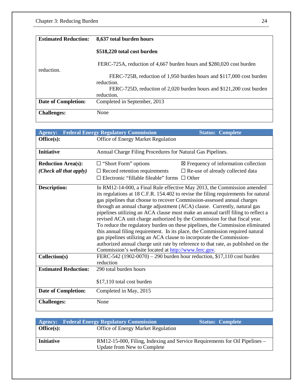| <b>Estimated Reduction:</b> | 8,637 total burden hours                                                                                                                                   |
|-----------------------------|------------------------------------------------------------------------------------------------------------------------------------------------------------|
|                             | \$518,220 total cost burden                                                                                                                                |
|                             | FERC-725A, reduction of 4,667 burden hours and \$280,020 cost burden                                                                                       |
| reduction.                  | FERC-725B, reduction of 1,950 burden hours and \$117,000 cost burden<br>reduction.<br>FERC-725D, reduction of 2,020 burden hours and \$121,200 cost burden |
| <b>Date of Completion:</b>  | reduction.<br>Completed in September, 2013                                                                                                                 |
|                             |                                                                                                                                                            |
| <b>Challenges:</b>          | None                                                                                                                                                       |

| <b>Agency:</b>              | <b>Federal Energy Regulatory Commission</b>                                                                                                                                                                                                                                                                                                                       | <b>Status: Complete</b>                                                                                                                                                                                                                                                                                                                                                                                                                                                                                  |
|-----------------------------|-------------------------------------------------------------------------------------------------------------------------------------------------------------------------------------------------------------------------------------------------------------------------------------------------------------------------------------------------------------------|----------------------------------------------------------------------------------------------------------------------------------------------------------------------------------------------------------------------------------------------------------------------------------------------------------------------------------------------------------------------------------------------------------------------------------------------------------------------------------------------------------|
| Office(s):                  | Office of Energy Market Regulation                                                                                                                                                                                                                                                                                                                                |                                                                                                                                                                                                                                                                                                                                                                                                                                                                                                          |
| <b>Initiative</b>           | Annual Charge Filing Procedures for Natural Gas Pipelines.                                                                                                                                                                                                                                                                                                        |                                                                                                                                                                                                                                                                                                                                                                                                                                                                                                          |
| <b>Reduction Area(s):</b>   | $\Box$ "Short Form" options                                                                                                                                                                                                                                                                                                                                       | $\boxtimes$ Frequency of information collection                                                                                                                                                                                                                                                                                                                                                                                                                                                          |
| (Check all that apply)      | $\Box$ Record retention requirements                                                                                                                                                                                                                                                                                                                              | $\square$ Re-use of already collected data                                                                                                                                                                                                                                                                                                                                                                                                                                                               |
|                             | $\Box$ Electronic "fillable fileable" forms $\Box$ Other                                                                                                                                                                                                                                                                                                          |                                                                                                                                                                                                                                                                                                                                                                                                                                                                                                          |
| <b>Description:</b>         | gas pipelines that choose to recover Commission-assessed annual charges<br>through an annual charge adjustment (ACA) clause. Currently, natural gas<br>revised ACA unit charge authorized by the Commission for that fiscal year.<br>gas pipelines utilizing an ACA clause to incorporate the Commission-<br>Commission's website located at http://www.ferc.gov. | In RM12-14-000, a Final Rule effective May 2013, the Commission amended<br>its regulations at 18 C.F.R. 154.402 to revise the filing requirements for natural<br>pipelines utilizing an ACA clause must make an annual tariff filing to reflect a<br>To reduce the regulatory burden on these pipelines, the Commission eliminated<br>this annual filing requirement. In its place, the Commission required natural<br>authorized annual charge unit rate by reference to that rate, as published on the |
| Collection(s)               | FERC-542 (1902-0070) – 290 burden hour reduction, \$17,110 cost burden<br>reduction                                                                                                                                                                                                                                                                               |                                                                                                                                                                                                                                                                                                                                                                                                                                                                                                          |
| <b>Estimated Reduction:</b> | 290 total burden hours                                                                                                                                                                                                                                                                                                                                            |                                                                                                                                                                                                                                                                                                                                                                                                                                                                                                          |
|                             | \$17,110 total cost burden                                                                                                                                                                                                                                                                                                                                        |                                                                                                                                                                                                                                                                                                                                                                                                                                                                                                          |
| Date of Completion:         | Completed in May, 2015                                                                                                                                                                                                                                                                                                                                            |                                                                                                                                                                                                                                                                                                                                                                                                                                                                                                          |
| <b>Challenges:</b>          | None                                                                                                                                                                                                                                                                                                                                                              |                                                                                                                                                                                                                                                                                                                                                                                                                                                                                                          |

|                   | <b>Agency:</b> Federal Energy Regulatory Commission | <b>Status: Complete</b>                                                    |
|-------------------|-----------------------------------------------------|----------------------------------------------------------------------------|
| Office(s):        | <b>Office of Energy Market Regulation</b>           |                                                                            |
|                   |                                                     |                                                                            |
| <b>Initiative</b> |                                                     | RM12-15-000, Filing, Indexing and Service Requirements for Oil Pipelines – |
|                   | <b>Update from New to Complete</b>                  |                                                                            |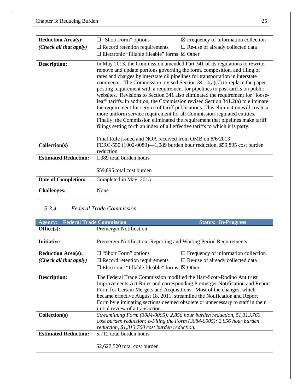| <b>Reduction Area(s):</b>   | $\Box$ "Short Form" options                                                                                                                                                                                                                                                                                                                                                                                                                                                                                                                                                                                                                                                                                                                                                                                                                                                                                                                                                     | $\boxtimes$ Frequency of information collection                        |
|-----------------------------|---------------------------------------------------------------------------------------------------------------------------------------------------------------------------------------------------------------------------------------------------------------------------------------------------------------------------------------------------------------------------------------------------------------------------------------------------------------------------------------------------------------------------------------------------------------------------------------------------------------------------------------------------------------------------------------------------------------------------------------------------------------------------------------------------------------------------------------------------------------------------------------------------------------------------------------------------------------------------------|------------------------------------------------------------------------|
| (Check all that apply)      | $\Box$ Record retention requirements<br>$\Box$ Electronic "fillable fileable" forms                                                                                                                                                                                                                                                                                                                                                                                                                                                                                                                                                                                                                                                                                                                                                                                                                                                                                             | $\Box$ Re-use of already collected data<br>$\boxtimes$ Other           |
| <b>Description:</b>         | In May 2013, the Commission amended Part 341 of its regulations to rewrite,<br>remove and update portions governing the form, composition, and filing of<br>rates and charges by interstate oil pipelines for transportation in interstate<br>commerce. The Commission revised Section $341.0(a)(7)$ to replace the paper<br>posting requirement with a requirement for pipelines to post tariffs on public<br>websites. Revisions to Section 341 also eliminated the requirement for "loose-<br>leaf" tariffs. In addition, the Commission revised Section 341.2(a) to eliminate<br>the requirement for service of tariff publications. This elimination will create a<br>more uniform service requirement for all Commission-regulated entities.<br>Finally, the Commission eliminated the requirement that pipelines make tariff<br>filings setting forth an index of all effective tariffs to which it is party.<br>Final Rule issued and NOA received from OMB on 8/6/2013 |                                                                        |
| Collection(s)               | reduction                                                                                                                                                                                                                                                                                                                                                                                                                                                                                                                                                                                                                                                                                                                                                                                                                                                                                                                                                                       | FERC-550 (1902-0089)-1,089 burden hour reduction, \$59,895 cost burden |
| <b>Estimated Reduction:</b> | 1,089 total burden hours                                                                                                                                                                                                                                                                                                                                                                                                                                                                                                                                                                                                                                                                                                                                                                                                                                                                                                                                                        |                                                                        |
|                             | \$59,895 total cost burden                                                                                                                                                                                                                                                                                                                                                                                                                                                                                                                                                                                                                                                                                                                                                                                                                                                                                                                                                      |                                                                        |
| <b>Date of Completion:</b>  | Completed in May, 2015                                                                                                                                                                                                                                                                                                                                                                                                                                                                                                                                                                                                                                                                                                                                                                                                                                                                                                                                                          |                                                                        |
| <b>Challenges:</b>          | None                                                                                                                                                                                                                                                                                                                                                                                                                                                                                                                                                                                                                                                                                                                                                                                                                                                                                                                                                                            |                                                                        |

## *3.3.4. Federal Trade Commission*

| <b>Agency:</b>                  | <b>Federal Trade Commission</b>                                                                                                                                                                                                                                                                                                                                                                                               | <b>Status: In-Progress</b>                 |
|---------------------------------|-------------------------------------------------------------------------------------------------------------------------------------------------------------------------------------------------------------------------------------------------------------------------------------------------------------------------------------------------------------------------------------------------------------------------------|--------------------------------------------|
| Office(s):                      | <b>Premerger Notification</b>                                                                                                                                                                                                                                                                                                                                                                                                 |                                            |
| <b>Initiative</b>               | Premerger Notification; Reporting and Waiting Period Requirements                                                                                                                                                                                                                                                                                                                                                             |                                            |
| <b>Reduction Area(s):</b>       | $\Box$ "Short Form" options                                                                                                                                                                                                                                                                                                                                                                                                   | $\Box$ Frequency of information collection |
| ( <i>Check all that apply</i> ) | $\Box$ Record retention requirements                                                                                                                                                                                                                                                                                                                                                                                          | $\Box$ Re-use of already collected data    |
|                                 | $\Box$ Electronic "fillable fileable" forms $\boxtimes$ Other                                                                                                                                                                                                                                                                                                                                                                 |                                            |
| Description:                    | The Federal Trade Commission modified the Hart-Scott-Rodino Antitrust<br>Improvements Act Rules and corresponding Premerger Notification and Report<br>Form for Certain Mergers and Acquisitions. Most of the changes, which<br>became effective August 18, 2011, streamline the Notification and Report<br>Form by eliminating sections deemed obsolete or unnecessary to staff in their<br>initial review of a transaction. |                                            |
| Collection(s)                   | Streamlining Form (3084-0005): 2,856 hour burden reduction, \$1,313,760<br>cost burden reduction; e-Filing the Form (3084-0005): 2,856 hour burden<br>reduction, \$1,313,760 cost burden reduction.                                                                                                                                                                                                                           |                                            |
| <b>Estimated Reduction:</b>     | 5,712 total burden hours                                                                                                                                                                                                                                                                                                                                                                                                      |                                            |
|                                 | $$2,627,520$ total cost burden                                                                                                                                                                                                                                                                                                                                                                                                |                                            |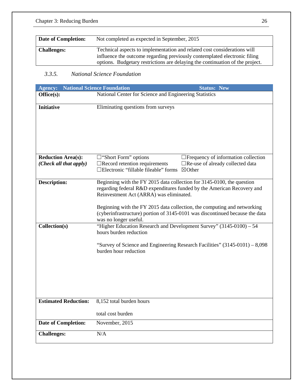| Date of Completion: | Not completed as expected in September, 2015                                                                                                                                                                                           |
|---------------------|----------------------------------------------------------------------------------------------------------------------------------------------------------------------------------------------------------------------------------------|
| <b>Challenges:</b>  | Technical aspects to implementation and related cost considerations will<br>influence the outcome regarding previously contemplated electronic filing<br>options. Budgetary restrictions are delaying the continuation of the project. |

### *3.3.5. National Science Foundation*

| <b>Agency:</b>                       | <b>National Science Foundation</b><br><b>Status: New</b>                                                                                                                                                                                                                                                                                                                                                                                                                          |  |
|--------------------------------------|-----------------------------------------------------------------------------------------------------------------------------------------------------------------------------------------------------------------------------------------------------------------------------------------------------------------------------------------------------------------------------------------------------------------------------------------------------------------------------------|--|
| Office(s):                           | National Center for Science and Engineering Statistics                                                                                                                                                                                                                                                                                                                                                                                                                            |  |
| <b>Initiative</b>                    | Eliminating questions from surveys                                                                                                                                                                                                                                                                                                                                                                                                                                                |  |
| <b>Reduction Area(s):</b>            | <b>Trequency of information collection</b><br>$\square$ "Short Form" options                                                                                                                                                                                                                                                                                                                                                                                                      |  |
| (Check all that apply)               | $\Box$ Record retention requirements<br>□Re-use of already collected data<br>□Electronic "fillable fileable" forms<br>⊠Other                                                                                                                                                                                                                                                                                                                                                      |  |
| <b>Description:</b><br>Collection(s) | Beginning with the FY 2015 data collection for 3145-0100, the question<br>regarding federal R&D expenditures funded by the American Recovery and<br>Reinvestment Act (ARRA) was eliminated.<br>Beginning with the FY 2015 data collection, the computing and networking<br>(cyberinfrastructure) portion of 3145-0101 was discontinued because the data<br>was no longer useful.<br>"Higher Education Research and Development Survey" (3145-0100) - 54<br>hours burden reduction |  |
|                                      | "Survey of Science and Engineering Research Facilities" (3145-0101) - 8,098<br>burden hour reduction                                                                                                                                                                                                                                                                                                                                                                              |  |
| <b>Estimated Reduction:</b>          | 8,152 total burden hours                                                                                                                                                                                                                                                                                                                                                                                                                                                          |  |
|                                      | total cost burden                                                                                                                                                                                                                                                                                                                                                                                                                                                                 |  |
| <b>Date of Completion:</b>           | November, 2015                                                                                                                                                                                                                                                                                                                                                                                                                                                                    |  |
| <b>Challenges:</b>                   | $\rm N/A$                                                                                                                                                                                                                                                                                                                                                                                                                                                                         |  |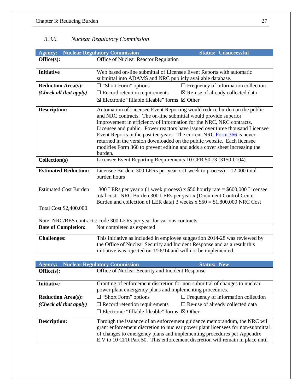## *3.3.6. Nuclear Regulatory Commission*

| <b>Agency:</b>                                                         | <b>Nuclear Regulatory Commission</b><br><b>Status: Unsuccessful</b>                                                                                                                                                                                                                                                                                                                                                                                                                                                                               |                                                                            |
|------------------------------------------------------------------------|---------------------------------------------------------------------------------------------------------------------------------------------------------------------------------------------------------------------------------------------------------------------------------------------------------------------------------------------------------------------------------------------------------------------------------------------------------------------------------------------------------------------------------------------------|----------------------------------------------------------------------------|
| Office(s):                                                             | Office of Nuclear Reactor Regulation                                                                                                                                                                                                                                                                                                                                                                                                                                                                                                              |                                                                            |
|                                                                        |                                                                                                                                                                                                                                                                                                                                                                                                                                                                                                                                                   |                                                                            |
| <b>Initiative</b>                                                      | Web based on-line submittal of Licensee Event Reports with automatic<br>submittal into ADAMS and NRC publicly available database.                                                                                                                                                                                                                                                                                                                                                                                                                 |                                                                            |
| <b>Reduction Area(s):</b>                                              | $\Box$ "Short Form" options                                                                                                                                                                                                                                                                                                                                                                                                                                                                                                                       | $\Box$ Frequency of information collection                                 |
| (Check all that apply)                                                 | $\Box$ Record retention requirements                                                                                                                                                                                                                                                                                                                                                                                                                                                                                                              | ⊠ Re-use of already collected data                                         |
|                                                                        | ⊠ Electronic "fillable fileable" forms ⊠ Other                                                                                                                                                                                                                                                                                                                                                                                                                                                                                                    |                                                                            |
| <b>Description:</b>                                                    | Automation of Licensee Event Reporting would reduce burden on the public<br>and NRC contracts. The on-line submittal would provide superior<br>improvement in efficiency of information for the NRC, NRC contracts,<br>Licensee and public. Power reactors have issued over three thousand Licensee<br>Event Reports in the past ten years. The current NRC Form 366 is never<br>returned in the version downloaded on the public website. Each licensee<br>modifies Form 366 to prevent editing and adds a cover sheet increasing the<br>burden. |                                                                            |
| Collection(s)                                                          | Licensee Event Reporting Requirements 10 CFR 50.73 (3150-0104)                                                                                                                                                                                                                                                                                                                                                                                                                                                                                    |                                                                            |
| <b>Estimated Reduction:</b>                                            | Licensee Burden: 300 LERs per year x $(1$ week to process) = 12,000 total<br>burden hours                                                                                                                                                                                                                                                                                                                                                                                                                                                         |                                                                            |
| <b>Estimated Cost Burden</b>                                           | 300 LERs per year x (1 week process) x $$50$ hourly rate = \$600,000 Licensee<br>total cost; NRC Burden 300 LERs per year x (Document Control Center<br>Burden and collection of LER data) 3 weeks $x $50 = $1,800,000$ NRC Cost                                                                                                                                                                                                                                                                                                                  |                                                                            |
| Total Cost \$2,400,000                                                 |                                                                                                                                                                                                                                                                                                                                                                                                                                                                                                                                                   |                                                                            |
| Note: NRC/RES contracts: code 300 LERs per year for various contracts. |                                                                                                                                                                                                                                                                                                                                                                                                                                                                                                                                                   |                                                                            |
| <b>Date of Completion:</b>                                             | Not completed as expected                                                                                                                                                                                                                                                                                                                                                                                                                                                                                                                         |                                                                            |
| <b>Challenges:</b>                                                     | the Office of Nuclear Security and Incident Response and as a result this<br>initiative was rejected on 1/26/14 and will not be implemented.                                                                                                                                                                                                                                                                                                                                                                                                      | This initiative as included in employee suggestion 2014-28 was reviewed by |

| <b>Agency:</b>            | <b>Nuclear Regulatory Commission</b>                                                                                                                                                                                                                                                                                   | <b>Status: New</b>                         |
|---------------------------|------------------------------------------------------------------------------------------------------------------------------------------------------------------------------------------------------------------------------------------------------------------------------------------------------------------------|--------------------------------------------|
| Office(s):                | Office of Nuclear Security and Incident Response                                                                                                                                                                                                                                                                       |                                            |
| <b>Initiative</b>         | Granting of enforcement discretion for non-submittal of changes to nuclear<br>power plant emergency plans and implementing procedures.                                                                                                                                                                                 |                                            |
| <b>Reduction Area(s):</b> | $\Box$ "Short Form" options                                                                                                                                                                                                                                                                                            | $\Box$ Frequency of information collection |
| (Check all that apply)    | $\Box$ Record retention requirements                                                                                                                                                                                                                                                                                   | $\Box$ Re-use of already collected data    |
|                           | $\Box$ Electronic "fillable fileable" forms $\boxtimes$ Other                                                                                                                                                                                                                                                          |                                            |
| <b>Description:</b>       | Through the issuance of an enforcement guidance memorandum, the NRC will<br>grant enforcement discretion to nuclear power plant licensees for non-submittal<br>of changes to emergency plans and implementing procedures per Appendix<br>E.V to 10 CFR Part 50. This enforcement discretion will remain in place until |                                            |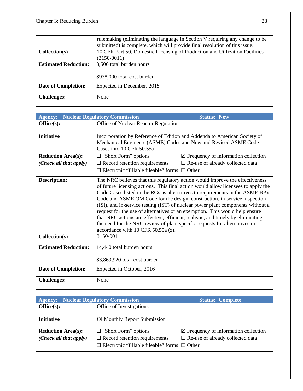|                             | rulemaking (eliminating the language in Section V requiring any change to be<br>submitted) is complete, which will provide final resolution of this issue. |  |
|-----------------------------|------------------------------------------------------------------------------------------------------------------------------------------------------------|--|
| Collection(s)               | 10 CFR Part 50, Domestic Licensing of Production and Utilization Facilities                                                                                |  |
|                             | $(3150-0011)$                                                                                                                                              |  |
| <b>Estimated Reduction:</b> | 3,500 total burden hours                                                                                                                                   |  |
|                             |                                                                                                                                                            |  |
|                             | \$938,000 total cost burden                                                                                                                                |  |
| <b>Date of Completion:</b>  | Expected in December, 2015                                                                                                                                 |  |
|                             |                                                                                                                                                            |  |
| <b>Challenges:</b>          | None                                                                                                                                                       |  |

| <b>Agency:</b>              | <b>Nuclear Regulatory Commission</b><br><b>Status: New</b>                                                                                                |  |
|-----------------------------|-----------------------------------------------------------------------------------------------------------------------------------------------------------|--|
| Office(s):                  | Office of Nuclear Reactor Regulation                                                                                                                      |  |
|                             |                                                                                                                                                           |  |
| <b>Initiative</b>           | Incorporation by Reference of Edition and Addenda to American Society of                                                                                  |  |
|                             | Mechanical Engineers (ASME) Codes and New and Revised ASME Code                                                                                           |  |
|                             | Cases into 10 CFR 50.55a                                                                                                                                  |  |
| <b>Reduction Area(s):</b>   | $\boxtimes$ Frequency of information collection<br>$\Box$ "Short Form" options                                                                            |  |
| (Check all that apply)      | $\Box$ Record retention requirements<br>$\Box$ Re-use of already collected data                                                                           |  |
|                             | $\Box$ Electronic "fillable fileable" forms $\Box$ Other                                                                                                  |  |
| <b>Description:</b>         | The NRC believes that this regulatory action would improve the effectiveness                                                                              |  |
|                             | of future licensing actions. This final action would allow licensees to apply the                                                                         |  |
|                             | Code Cases listed in the RGs as alternatives to requirements in the ASME BPV<br>Code and ASME OM Code for the design, construction, in-service inspection |  |
|                             | (ISI), and in-service testing (IST) of nuclear power plant components without a                                                                           |  |
|                             | request for the use of alternatives or an exemption. This would help ensure                                                                               |  |
|                             | that NRC actions are effective, efficient, realistic, and timely by eliminating                                                                           |  |
|                             | the need for the NRC review of plant specific requests for alternatives in                                                                                |  |
|                             | accordance with 10 CFR 50.55a (z).                                                                                                                        |  |
| Collection(s)               | 3150-0011                                                                                                                                                 |  |
| <b>Estimated Reduction:</b> | 14,440 total burden hours                                                                                                                                 |  |
|                             |                                                                                                                                                           |  |
|                             | \$3,869,920 total cost burden                                                                                                                             |  |
| <b>Date of Completion:</b>  | Expected in October, 2016                                                                                                                                 |  |
| <b>Challenges:</b>          | None                                                                                                                                                      |  |
|                             |                                                                                                                                                           |  |

| <b>Agency:</b> Nuclear Regulatory Commission |                                                          | <b>Status: Complete</b>                         |
|----------------------------------------------|----------------------------------------------------------|-------------------------------------------------|
| Office(s):                                   | Office of Investigations                                 |                                                 |
|                                              |                                                          |                                                 |
| <b>Initiative</b>                            | OI Monthly Report Submission                             |                                                 |
|                                              |                                                          |                                                 |
| <b>Reduction Area(s):</b>                    | $\Box$ "Short Form" options                              | $\boxtimes$ Frequency of information collection |
| (Check all that apply)                       | $\Box$ Record retention requirements                     | $\Box$ Re-use of already collected data         |
|                                              | $\Box$ Electronic "fillable fileable" forms $\Box$ Other |                                                 |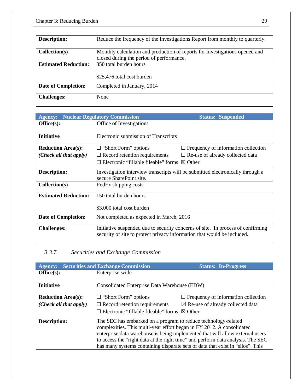| <b>Description:</b>         | Reduce the frequency of the Investigations Report from monthly to quarterly.                                            |
|-----------------------------|-------------------------------------------------------------------------------------------------------------------------|
| Collection(s)               | Monthly calculation and production of reports for investigations opened and<br>closed during the period of performance. |
| <b>Estimated Reduction:</b> | 350 total burden hours<br>\$25,476 total cost burden                                                                    |
| <b>Date of Completion:</b>  | Completed in January, 2014                                                                                              |
| <b>Challenges:</b>          | None                                                                                                                    |

| <b>Agency:</b>              | <b>Nuclear Regulatory Commission</b>                                                                                                                       | <b>Status: Suspended</b>                   |
|-----------------------------|------------------------------------------------------------------------------------------------------------------------------------------------------------|--------------------------------------------|
| Office(s):                  | Office of Investigations                                                                                                                                   |                                            |
| <b>Initiative</b>           | Electronic submission of Transcripts                                                                                                                       |                                            |
| <b>Reduction Area(s):</b>   | $\Box$ "Short Form" options                                                                                                                                | $\Box$ Frequency of information collection |
| (Check all that apply)      | $\Box$ Record retention requirements                                                                                                                       | $\Box$ Re-use of already collected data    |
|                             | $\Box$ Electronic "fillable fileable" forms<br>$\boxtimes$ Other                                                                                           |                                            |
| <b>Description:</b>         | Investigation interview transcripts will be submitted electronically through a<br>secure SharePoint site.                                                  |                                            |
| Collection(s)               | FedEx shipping costs                                                                                                                                       |                                            |
| <b>Estimated Reduction:</b> | 150 total burden hours                                                                                                                                     |                                            |
|                             | \$3,000 total cost burden                                                                                                                                  |                                            |
| <b>Date of Completion:</b>  | Not completed as expected in March, 2016                                                                                                                   |                                            |
| <b>Challenges:</b>          | Initiative suspended due to security concerns of site. In process of confirming<br>security of site to protect privacy information that would be included. |                                            |

## *3.3.7. Securities and Exchange Commission*

| <b>Agency:</b>            | <b>Securities and Exchange Commission</b>                                       | <b>Status: In-Progress</b>                   |  |
|---------------------------|---------------------------------------------------------------------------------|----------------------------------------------|--|
| Office(s):                | Enterprise-wide                                                                 |                                              |  |
|                           |                                                                                 |                                              |  |
| <b>Initiative</b>         | Consolidated Enterprise Data Warehouse (EDW)                                    |                                              |  |
| <b>Reduction Area(s):</b> | $\Box$ "Short Form" options                                                     | $\Box$ Frequency of information collection   |  |
| (Check all that apply)    | $\Box$ Record retention requirements                                            | $\boxtimes$ Re-use of already collected data |  |
|                           | $\Box$ Electronic "fillable fileable" forms                                     | $\boxtimes$ Other                            |  |
| <b>Description:</b>       | The SEC has embarked on a program to reduce technology-related                  |                                              |  |
|                           | complexities. This multi-year effort began in FY 2012. A consolidated           |                                              |  |
|                           | enterprise data warehouse is being implemented that will allow external users   |                                              |  |
|                           | to access the "right data at the right time" and perform data analysis. The SEC |                                              |  |
|                           | has many systems containing disparate sets of data that exist in "silos". This  |                                              |  |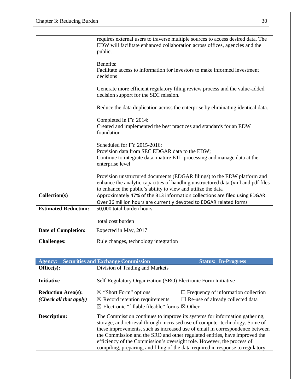|                             | requires external users to traverse multiple sources to access desired data. The<br>EDW will facilitate enhanced collaboration across offices, agencies and the<br>public.                                                   |
|-----------------------------|------------------------------------------------------------------------------------------------------------------------------------------------------------------------------------------------------------------------------|
|                             | Benefits:<br>Facilitate access to information for investors to make informed investment<br>decisions                                                                                                                         |
|                             | Generate more efficient regulatory filing review process and the value-added<br>decision support for the SEC mission.                                                                                                        |
|                             | Reduce the data duplication across the enterprise by eliminating identical data.                                                                                                                                             |
|                             | Completed in FY 2014:<br>Created and implemented the best practices and standards for an EDW<br>foundation                                                                                                                   |
|                             | Scheduled for FY 2015-2016:<br>Provision data from SEC EDGAR data to the EDW;<br>Continue to integrate data, mature ETL processing and manage data at the<br>enterprise level                                                |
|                             | Provision unstructured documents (EDGAR filings) to the EDW platform and<br>enhance the analytic capacities of handling unstructured data (xml and pdf files<br>to enhance the public's ability to view and utilize the data |
| Collection(s)               | Approximately 47% of the 313 information collections are filed using EDGAR.<br>Over 36 million hours are currently devoted to EDGAR related forms                                                                            |
| <b>Estimated Reduction:</b> | 50,000 total burden hours                                                                                                                                                                                                    |
|                             | total cost burden                                                                                                                                                                                                            |
| <b>Date of Completion:</b>  | Expected in May, 2017                                                                                                                                                                                                        |
| <b>Challenges:</b>          | Rule changes, technology integration                                                                                                                                                                                         |

| <b>Agency:</b>            | <b>Securities and Exchange Commission</b>                                                                                                                                                                                                  | <b>Status: In-Progress</b>                 |
|---------------------------|--------------------------------------------------------------------------------------------------------------------------------------------------------------------------------------------------------------------------------------------|--------------------------------------------|
| Office(s):                | Division of Trading and Markets                                                                                                                                                                                                            |                                            |
|                           |                                                                                                                                                                                                                                            |                                            |
| <b>Initiative</b>         | Self-Regulatory Organization (SRO) Electronic Form Initiative                                                                                                                                                                              |                                            |
| <b>Reduction Area(s):</b> | $\boxtimes$ "Short Form" options                                                                                                                                                                                                           | $\Box$ Frequency of information collection |
| (Check all that apply)    | $\boxtimes$ Record retention requirements                                                                                                                                                                                                  | $\Box$ Re-use of already collected data    |
|                           | $\boxtimes$ Electronic "fillable fileable" forms $\boxtimes$ Other                                                                                                                                                                         |                                            |
| <b>Description:</b>       | The Commission continues to improve its systems for information gathering,<br>storage, and retrieval through increased use of computer technology. Some of<br>these improvements, such as increased use of email in correspondence between |                                            |
|                           | the Commission and the SRO and other regulated entities, have improved the<br>efficiency of the Commission's oversight role. However, the process of                                                                                       |                                            |
|                           | compiling, preparing, and filing of the data required in response to regulatory                                                                                                                                                            |                                            |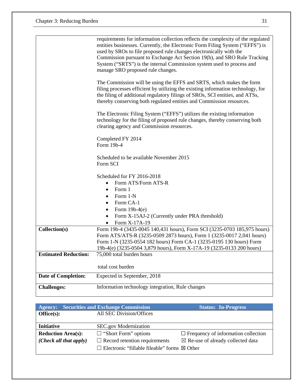|                             | requirements for information collection reflects the complexity of the regulated<br>entities businesses. Currently, the Electronic Form Filing System ("EFFS") is                                                                                                                                                |
|-----------------------------|------------------------------------------------------------------------------------------------------------------------------------------------------------------------------------------------------------------------------------------------------------------------------------------------------------------|
|                             | used by SROs to file proposed rule changes electronically with the<br>Commission pursuant to Exchange Act Section 19(b), and SRO Rule Tracking<br>System ("SRTS") is the internal Commission system used to process and<br>manage SRO proposed rule changes.                                                     |
|                             | The Commission will be using the EFFS and SRTS, which makes the form<br>filing processes efficient by utilizing the existing information technology, for<br>the filing of additional regulatory filings of SROs, SCI entities, and ATSs,<br>thereby conserving both regulated entities and Commission resources. |
|                             | The Electronic Filing System ("EFFS") utilizes the existing information<br>technology for the filing of proposed rule changes, thereby conserving both<br>clearing agency and Commission resources.                                                                                                              |
|                             | Completed FY 2014<br>Form 19b-4                                                                                                                                                                                                                                                                                  |
|                             | Scheduled to be available November 2015<br>Form SCI                                                                                                                                                                                                                                                              |
|                             | Scheduled for FY 2016-2018<br>Form ATS/Form ATS-R<br>$\bullet$                                                                                                                                                                                                                                                   |
|                             | Form 1<br>$\bullet$<br>Form 1-N<br>Form CA-1                                                                                                                                                                                                                                                                     |
|                             | Form $19b-4(e)$<br>$\bullet$<br>Form X-15AJ-2 (Currently under PRA threshold)<br>$\bullet$<br>Form X-17A-19                                                                                                                                                                                                      |
| Collection(s)               | Form 19b-4 (3435-0045 140,431 hours), Form SCI (3235-0703 185,975 hours)<br>Form ATS/ATS-R (3235-0509 2873 hours), Form 1 (3235-0017 2,041 hours)<br>Form 1-N (3235-0554 182 hours) Form CA-1 (3235-0195 130 hours) Form<br>19b-4(e) (3235-0504 3,879 hours), Form X-17A-19 (3235-0133 200 hours)                |
| <b>Estimated Reduction:</b> | 75,000 total burden hours                                                                                                                                                                                                                                                                                        |
|                             | total cost burden                                                                                                                                                                                                                                                                                                |
| <b>Date of Completion:</b>  | Expected in September, 2018                                                                                                                                                                                                                                                                                      |
| <b>Challenges:</b>          | Information technology integration, Rule changes                                                                                                                                                                                                                                                                 |

|                           | <b>Agency:</b> Securities and Exchange Commission                                    | <b>Status: In-Progress</b>                 |
|---------------------------|--------------------------------------------------------------------------------------|--------------------------------------------|
| Office(s):                | All SEC Division/Offices                                                             |                                            |
|                           |                                                                                      |                                            |
| <b>Initiative</b>         | SEC.gov Modernization                                                                |                                            |
| <b>Reduction Area(s):</b> | $\Box$ "Short Form" options                                                          | $\Box$ Frequency of information collection |
| (Check all that apply)    | $\Box$ Record retention requirements<br>$\boxtimes$ Re-use of already collected data |                                            |
|                           | $\Box$ Electronic "fillable fileable" forms $\boxtimes$ Other                        |                                            |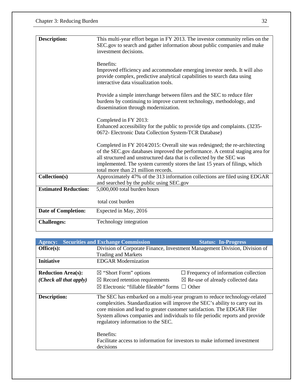| <b>Description:</b>         | This multi-year effort began in FY 2013. The investor community relies on the<br>SEC.gov to search and gather information about public companies and make<br>investment decisions.                                                                                                                                                                           |
|-----------------------------|--------------------------------------------------------------------------------------------------------------------------------------------------------------------------------------------------------------------------------------------------------------------------------------------------------------------------------------------------------------|
|                             | Benefits:<br>Improved efficiency and accommodate emerging investor needs. It will also<br>provide complex, predictive analytical capabilities to search data using<br>interactive data visualization tools.                                                                                                                                                  |
|                             | Provide a simple interchange between filers and the SEC to reduce filer<br>burdens by continuing to improve current technology, methodology, and<br>dissemination through modernization.                                                                                                                                                                     |
|                             | Completed in FY 2013:<br>Enhanced accessibility for the public to provide tips and complaints. (3235-<br>0672- Electronic Data Collection System-TCR Database)                                                                                                                                                                                               |
|                             | Completed in FY 2014/2015: Overall site was redesigned; the re-architecting<br>of the SEC.gov databases improved the performance. A central staging area for<br>all structured and unstructured data that is collected by the SEC was<br>implemented. The system currently stores the last 15 years of filings, which<br>total more than 21 million records. |
| Collection(s)               | Approximately 47% of the 313 information collections are filed using EDGAR<br>and searched by the public using SEC.gov                                                                                                                                                                                                                                       |
| <b>Estimated Reduction:</b> | 5,000,000 total burden hours                                                                                                                                                                                                                                                                                                                                 |
|                             | total cost burden                                                                                                                                                                                                                                                                                                                                            |
| <b>Date of Completion:</b>  | Expected in May, 2016                                                                                                                                                                                                                                                                                                                                        |
| <b>Challenges:</b>          | Technology integration                                                                                                                                                                                                                                                                                                                                       |

| <b>Agency:</b>            | <b>Securities and Exchange Commission</b>                                                                     | <b>Status: In-Progress</b>                                                                                                                                                                                                                 |  |
|---------------------------|---------------------------------------------------------------------------------------------------------------|--------------------------------------------------------------------------------------------------------------------------------------------------------------------------------------------------------------------------------------------|--|
| Office(s):                | Division of Corporate Finance, Investment Management Division, Division of                                    |                                                                                                                                                                                                                                            |  |
|                           | <b>Trading and Markets</b>                                                                                    |                                                                                                                                                                                                                                            |  |
| <b>Initiative</b>         | <b>EDGAR Modernization</b>                                                                                    |                                                                                                                                                                                                                                            |  |
| <b>Reduction Area(s):</b> | $\boxtimes$ "Short Form" options                                                                              | $\Box$ Frequency of information collection                                                                                                                                                                                                 |  |
| (Check all that apply)    | $\boxtimes$ Record retention requirements                                                                     | $\boxtimes$ Re-use of already collected data                                                                                                                                                                                               |  |
|                           | $\boxtimes$ Electronic "fillable fileable" forms $\Box$ Other                                                 |                                                                                                                                                                                                                                            |  |
| <b>Description:</b>       | core mission and lead to greater customer satisfaction. The EDGAR Filer<br>regulatory information to the SEC. | The SEC has embarked on a multi-year program to reduce technology-related<br>complexities. Standardization will improve the SEC's ability to carry out its<br>System allows companies and individuals to file periodic reports and provide |  |
|                           | Benefits:<br>Facilitate access to information for investors to make informed investment<br>decisions          |                                                                                                                                                                                                                                            |  |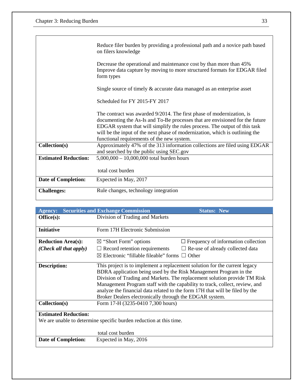|                             | Reduce filer burden by providing a professional path and a novice path based<br>on filers knowledge                                                                                                                                                                                                                                                               |  |  |
|-----------------------------|-------------------------------------------------------------------------------------------------------------------------------------------------------------------------------------------------------------------------------------------------------------------------------------------------------------------------------------------------------------------|--|--|
|                             | Decrease the operational and maintenance cost by than more than 45%<br>Improve data capture by moving to more structured formats for EDGAR filed<br>form types                                                                                                                                                                                                    |  |  |
|                             | Single source of timely & accurate data managed as an enterprise asset                                                                                                                                                                                                                                                                                            |  |  |
|                             | Scheduled for FY 2015-FY 2017                                                                                                                                                                                                                                                                                                                                     |  |  |
|                             | The contract was awarded 9/2014. The first phase of modernization, is<br>documenting the As-Is and To-Be processes that are envisioned for the future<br>EDGAR system that will simplify the rules process. The output of this task<br>will be the input of the next phase of modernization, which is outlining the<br>functional requirements of the new system. |  |  |
| Collection(s)               | Approximately 47% of the 313 information collections are filed using EDGAR<br>and searched by the public using SEC.gov                                                                                                                                                                                                                                            |  |  |
| <b>Estimated Reduction:</b> | $5,000,000 - 10,000,000$ total burden hours                                                                                                                                                                                                                                                                                                                       |  |  |
|                             | total cost burden                                                                                                                                                                                                                                                                                                                                                 |  |  |
| <b>Date of Completion:</b>  | Expected in May, 2017                                                                                                                                                                                                                                                                                                                                             |  |  |
| <b>Challenges:</b>          | Rule changes, technology integration                                                                                                                                                                                                                                                                                                                              |  |  |

| <b>Agency:</b>              | <b>Securities and Exchange Commission</b>                                                                                                                                                                                                                                                                                       | <b>Status: New</b>                                                                                                                                       |
|-----------------------------|---------------------------------------------------------------------------------------------------------------------------------------------------------------------------------------------------------------------------------------------------------------------------------------------------------------------------------|----------------------------------------------------------------------------------------------------------------------------------------------------------|
| Office(s):                  | Division of Trading and Markets                                                                                                                                                                                                                                                                                                 |                                                                                                                                                          |
| <b>Initiative</b>           | Form 17H Electronic Submission                                                                                                                                                                                                                                                                                                  |                                                                                                                                                          |
| <b>Reduction Area(s):</b>   | $\boxtimes$ "Short Form" options                                                                                                                                                                                                                                                                                                | $\Box$ Frequency of information collection                                                                                                               |
| (Check all that apply)      | $\Box$ Record retention requirements                                                                                                                                                                                                                                                                                            | $\Box$ Re-use of already collected data                                                                                                                  |
|                             | $\boxtimes$ Electronic "fillable fileable" forms $\Box$ Other                                                                                                                                                                                                                                                                   |                                                                                                                                                          |
| <b>Description:</b>         | This project is to implement a replacement solution for the current legacy<br>BDRA application being used by the Risk Management Program in the<br>analyze the financial data related to the form 17H that will be filed by the<br>Broker Dealers electronically through the EDGAR system.<br>Form 17-H (3235-0410 7,300 hours) | Division of Trading and Markets. The replacement solution provide TM Risk<br>Management Program staff with the capability to track, collect, review, and |
| Collection(s)               |                                                                                                                                                                                                                                                                                                                                 |                                                                                                                                                          |
| <b>Estimated Reduction:</b> |                                                                                                                                                                                                                                                                                                                                 |                                                                                                                                                          |
|                             | We are unable to determine specific burden reduction at this time.                                                                                                                                                                                                                                                              |                                                                                                                                                          |
|                             | total cost burden                                                                                                                                                                                                                                                                                                               |                                                                                                                                                          |
| <b>Date of Completion:</b>  | Expected in May, 2016                                                                                                                                                                                                                                                                                                           |                                                                                                                                                          |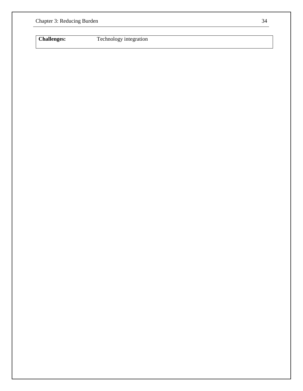**Challenges:** Technology integration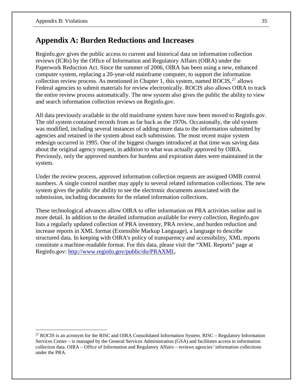## **Appendix A: Burden Reductions and Increases**

Reginfo.gov gives the public access to current and historical data on information collection reviews (ICRs) by the Office of Information and Regulatory Affairs (OIRA) under the Paperwork Reduction Act. Since the summer of 2006, OIRA has been using a new, enhanced computer system, replacing a 20-year-old mainframe computer, to support the information collection review process. As mentioned in Chapter 1, this system, named  $ROCIS<sub>1</sub><sup>27</sup>$  $ROCIS<sub>1</sub><sup>27</sup>$  $ROCIS<sub>1</sub><sup>27</sup>$  allows Federal agencies to submit materials for review electronically. ROCIS also allows OIRA to track the entire review process automatically. The new system also gives the public the ability to view and search information collection reviews on Reginfo.gov.

All data previously available in the old mainframe system have now been moved to Reginfo.gov. The old system contained records from as far back as the 1970s. Occasionally, the old system was modified, including several instances of adding more data to the information submitted by agencies and retained in the system about each submission. The most recent major system redesign occurred in 1995. One of the biggest changes introduced at that time was saving data about the original agency request, in addition to what was actually approved by OIRA. Previously, only the approved numbers for burdens and expiration dates were maintained in the system.

Under the review process, approved information collection requests are assigned OMB control numbers. A single control number may apply to several related information collections. The new system gives the public the ability to see the electronic documents associated with the submission, including documents for the related information collections.

These technological advances allow OIRA to offer information on PRA activities online and in more detail. In addition to the detailed information available for every collection, Reginfo.gov lists a regularly updated collection of PRA inventory, PRA review, and burden reduction and increase reports in XML format (Extensible Markup Language), a language to describe structured data. In keeping with OIRA's policy of transparency and accessibility, XML reports constitute a machine-readable format. For this data, please visit the "XML Reports" page at Reginfo.gov: [http://www.reginfo.gov/public/do/PRAXML.](http://www.reginfo.gov/public/do/PRAXML)

<span id="page-39-0"></span> $27$  ROCIS is an acronym for the RISC and OIRA Consolidated Information System. RISC – Regulatory Information Services Center – is managed by the General Services Administration (GSA) and facilitates access to information collection data. OIRA – Office of Information and Regulatory Affairs – reviews agencies' information collections under the PRA.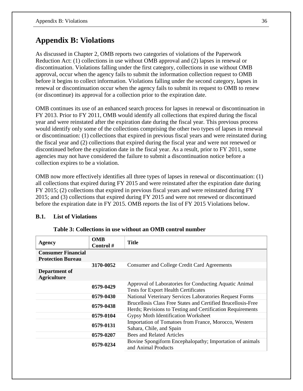## **Appendix B: Violations**

As discussed in Chapter 2, OMB reports two categories of violations of the Paperwork Reduction Act: (1) collections in use without OMB approval and (2) lapses in renewal or discontinuation. Violations falling under the first category, collections in use without OMB approval, occur when the agency fails to submit the information collection request to OMB before it begins to collect information. Violations falling under the second category, lapses in renewal or discontinuation occur when the agency fails to submit its request to OMB to renew (or discontinue) its approval for a collection prior to the expiration date.

OMB continues its use of an enhanced search process for lapses in renewal or discontinuation in FY 2013. Prior to FY 2011, OMB would identify all collections that expired during the fiscal year and were reinstated after the expiration date during the fiscal year. This previous process would identify only some of the collections comprising the other two types of lapses in renewal or discontinuation: (1) collections that expired in previous fiscal years and were reinstated during the fiscal year and (2) collections that expired during the fiscal year and were not renewed or discontinued before the expiration date in the fiscal year. As a result, prior to FY 2011, some agencies may not have considered the failure to submit a discontinuation notice before a collection expires to be a violation.

OMB now more effectively identifies all three types of lapses in renewal or discontinuation: (1) all collections that expired during FY 2015 and were reinstated after the expiration date during FY 2015; (2) collections that expired in previous fiscal years and were reinstated during FY 2015; and (3) collections that expired during FY 2015 and were not renewed or discontinued before the expiration date in FY 2015. OMB reports the list of FY 2015 Violations below.

#### **B.1. List of Violations**

| Agency                                                | <b>OMB</b><br>Control # | <b>Title</b>                                                                                                               |
|-------------------------------------------------------|-------------------------|----------------------------------------------------------------------------------------------------------------------------|
| <b>Consumer Financial</b><br><b>Protection Bureau</b> |                         |                                                                                                                            |
|                                                       | 3170-0052               | <b>Consumer and College Credit Card Agreements</b>                                                                         |
| Department of<br><b>Agriculture</b>                   |                         |                                                                                                                            |
|                                                       | 0579-0429               | Approval of Laboratories for Conducting Aquatic Animal<br><b>Tests for Export Health Certificates</b>                      |
|                                                       | 0579-0430               | National Veterinary Services Laboratories Request Forms                                                                    |
|                                                       | 0579-0438               | Brucellosis Class Free States and Certified Brucellosis-Free<br>Herds; Revisions to Testing and Certification Requirements |
|                                                       | 0579-0104               | Gypsy Moth Identification Worksheet                                                                                        |
|                                                       | 0579-0131               | Importation of Tomatoes from France, Morocco, Western<br>Sahara, Chile, and Spain                                          |
|                                                       | 0579-0207               | <b>Bees and Related Articles</b>                                                                                           |
|                                                       | 0579-0234               | Bovine Spongiform Encephalopathy; Importation of animals<br>and Animal Products                                            |

**Table 3: Collections in use without an OMB control number**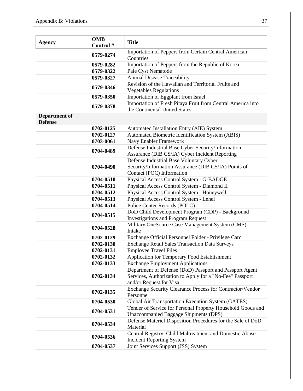| <b>Agency</b>                   | <b>OMB</b><br>Control # | <b>Title</b>                                                                                                                                   |
|---------------------------------|-------------------------|------------------------------------------------------------------------------------------------------------------------------------------------|
|                                 | 0579-0274               | Importation of Peppers from Certain Central American<br>Countries                                                                              |
|                                 | 0579-0282               | Importation of Peppers from the Republic of Korea                                                                                              |
|                                 | 0579-0322               | Pale Cyst Nematode                                                                                                                             |
|                                 | 0579-0327               | Animal Disease Traceability                                                                                                                    |
|                                 |                         | Revision of the Hawaiian and Territorial Fruits and                                                                                            |
|                                 | 0579-0346               | <b>Vegetables Regulations</b>                                                                                                                  |
|                                 | 0579-0350               | Importation of Eggplant from Israel                                                                                                            |
|                                 | 0579-0378               | Importation of Fresh Pitaya Fruit from Central America into<br>the Continental United States                                                   |
| Department of<br><b>Defense</b> |                         |                                                                                                                                                |
|                                 | 0702-0125               | Automated Installation Entry (AIE) System                                                                                                      |
|                                 | 0702-0127               | Automated Biometric Identification System (ABIS)                                                                                               |
|                                 | 0703-0061               | Navy Enabler Framework                                                                                                                         |
|                                 | 0704-0489               | Defense Industrial Base Cyber Security/Information<br>Assurance (DIB CS/IA) Cyber Incident Reporting                                           |
|                                 | 0704-0490               | Defense Industrial Base Voluntary Cyber<br>Security/Information Assurance (DIB CS/IA) Points of<br>Contact (POC) Information                   |
|                                 | 0704-0510               | Physical Access Control System - G-BADGE                                                                                                       |
|                                 | 0704-0511               | Physical Access Control System - Diamond II                                                                                                    |
|                                 | 0704-0512               | Physical Access Control System - Honeywell                                                                                                     |
|                                 | 0704-0513               | Physical Access Control System - Lenel                                                                                                         |
|                                 | 0704-0514               | Police Center Records (POLC)                                                                                                                   |
|                                 | 0704-0515               | DoD Child Development Program (CDP) - Background<br><b>Investigations and Program Request</b>                                                  |
|                                 | 0704-0528               | Military OneSource Case Management System (CMS) -<br>Intake                                                                                    |
|                                 | 0702-0129               | Exchange Official Personnel Folder - Privilege Card                                                                                            |
|                                 | 0702-0130               | <b>Exchange Retail Sales Transaction Data Surveys</b>                                                                                          |
|                                 | 0702-0131               | <b>Employee Travel Files</b>                                                                                                                   |
|                                 | 0702-0132               | Application for Temporary Food Establishment                                                                                                   |
|                                 | 0702-0133               | <b>Exchange Employment Applications</b>                                                                                                        |
|                                 | 0702-0134               | Department of Defense (DoD) Passport and Passport Agent<br>Services, Authorization to Apply for a "No-Fee" Passport<br>and/or Request for Visa |
|                                 | 0702-0135               | Exchange Security Clearance Process for Contractor/Vendor<br>Personnel                                                                         |
|                                 | 0704-0530               | Global Air Transportation Execution System (GATES)                                                                                             |
|                                 | 0704-0531               | Tender of Service for Personal Property Household Goods and<br><b>Unaccompanied Baggage Shipments (DPS)</b>                                    |
|                                 | 0704-0534               | Defense Materiel Disposition Procedures for the Sale of DoD<br>Material                                                                        |
|                                 | 0704-0536               | Central Registry: Child Maltreatment and Domestic Abuse<br><b>Incident Reporting System</b>                                                    |
|                                 | 0704-0537               | Joint Services Support (JSS) System                                                                                                            |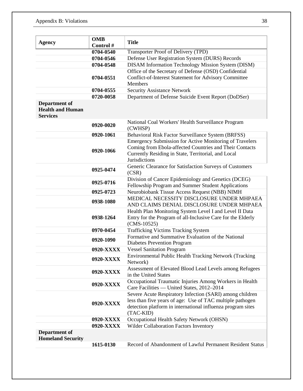| <b>OMB</b><br><b>Agency</b>                                 | <b>Title</b> |                                                                                                                           |
|-------------------------------------------------------------|--------------|---------------------------------------------------------------------------------------------------------------------------|
|                                                             | Control #    |                                                                                                                           |
|                                                             | 0704-0540    | Transporter Proof of Delivery (TPD)                                                                                       |
|                                                             | 0704-0546    | Defense User Registration System (DURS) Records                                                                           |
|                                                             | 0704-0548    | <b>DISAM Information Technology Mission System (DISM)</b>                                                                 |
|                                                             |              | Office of the Secretary of Defense (OSD) Confidential                                                                     |
|                                                             | 0704-0551    | Conflict-of-Interest Statement for Advisory Committee                                                                     |
|                                                             |              | Members                                                                                                                   |
|                                                             | 0704-0555    | <b>Security Assistance Network</b>                                                                                        |
|                                                             | 0720-0058    | Department of Defense Suicide Event Report (DoDSer)                                                                       |
| Department of<br><b>Health and Human</b><br><b>Services</b> |              |                                                                                                                           |
|                                                             | 0920-0020    | National Coal Workers' Health Surveillance Program<br>(CWHSP)                                                             |
|                                                             | 0920-1061    | Behavioral Risk Factor Surveillance System (BRFSS)                                                                        |
|                                                             |              | <b>Emergency Submission for Active Monitoring of Travelers</b><br>Coming from Ebola-affected Countries and Their Contacts |
|                                                             | 0920-1066    | Currently Residing in State, Territorial, and Local<br><b>Jurisdictions</b>                                               |
|                                                             | 0925-0474    | Generic Clearance for Satisfaction Surveys of Customers<br>(CSR)                                                          |
|                                                             | 0925-0716    | Division of Cancer Epidemiology and Genetics (DCEG)<br>Fellowship Program and Summer Student Applications                 |
|                                                             | 0925-0723    | Neurobiobank Tissue Access Request (NBB) NIMH                                                                             |
|                                                             | 0938-1080    | MEDICAL NECESSITY DISCLOSURE UNDER MHPAEA                                                                                 |
|                                                             |              | AND CLAIMS DENIAL DISCLOSURE UNDER MHPAEA                                                                                 |
|                                                             |              | Health Plan Monitoring System Level I and Level II Data                                                                   |
|                                                             | 0938-1264    | Entry for the Program of all-Inclusive Care for the Elderly                                                               |
|                                                             |              | $(CMS-10525)$                                                                                                             |
|                                                             | 0970-0454    | <b>Trafficking Victims Tracking System</b>                                                                                |
|                                                             | 0920-1090    | Formative and Summative Evaluation of the National<br><b>Diabetes Prevention Program</b>                                  |
|                                                             | 0920-XXXX    | <b>Vessel Sanitation Program</b>                                                                                          |
|                                                             | 0920-XXXX    | Environmental Public Health Tracking Network (Tracking<br>Network)                                                        |
|                                                             | 0920-XXXX    | Assessment of Elevated Blood Lead Levels among Refugees<br>in the United States                                           |
|                                                             | 0920-XXXX    | Occupational Traumatic Injuries Among Workers in Health<br>Care Facilities — United States, 2012-2014                     |
|                                                             |              | Severe Acute Respiratory Infection (SARI) among children                                                                  |
|                                                             |              | less than five years of age: Use of TAC multiple pathogen                                                                 |
|                                                             | 0920-XXXX    | detection platform in international influenza program sites                                                               |
|                                                             | 0920-XXXX    | (TAC-KID)<br>Occupational Health Safety Network (OHSN)                                                                    |
|                                                             | 0920-XXXX    | Wilder Collaboration Factors Inventory                                                                                    |
|                                                             |              |                                                                                                                           |
| Department of<br><b>Homeland Security</b>                   |              |                                                                                                                           |
|                                                             | 1615-0130    | Record of Abandonment of Lawful Permanent Resident Status                                                                 |
|                                                             |              |                                                                                                                           |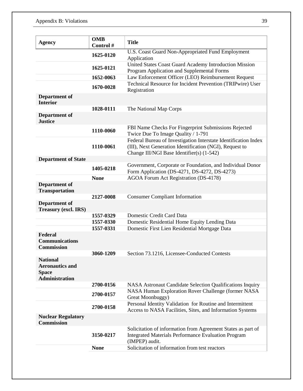| <b>Agency</b>                                                                      | <b>OMB</b><br>Control# | <b>Title</b>                                                                                                                                                            |
|------------------------------------------------------------------------------------|------------------------|-------------------------------------------------------------------------------------------------------------------------------------------------------------------------|
|                                                                                    | 1625-0120              | U.S. Coast Guard Non-Appropriated Fund Employment<br>Application                                                                                                        |
|                                                                                    | 1625-0121              | United States Coast Guard Academy Introduction Mission<br>Program Application and Supplemental Forms                                                                    |
|                                                                                    | 1652-0063              | Law Enforcement Officer (LEO) Reimbursement Request                                                                                                                     |
|                                                                                    | 1670-0028              | Technical Resource for Incident Prevention (TRIPwire) User<br>Registration                                                                                              |
| <b>Department of</b><br><b>Interior</b>                                            |                        |                                                                                                                                                                         |
|                                                                                    | 1028-0111              | The National Map Corps                                                                                                                                                  |
| Department of<br><b>Justice</b>                                                    |                        |                                                                                                                                                                         |
|                                                                                    | 1110-0060              | FBI Name Checks For Fingerprint Submissions Rejected<br>Twice Due To Image Quality / 1-791                                                                              |
|                                                                                    | 1110-0061              | Federal Bureau of Investigation Interstate Identification Index<br>(III), Next Generation Identification (NGI), Request to<br>Change III/NGI Base Identifier(s) (1-542) |
| <b>Department of State</b>                                                         |                        |                                                                                                                                                                         |
|                                                                                    | 1405-0218              | Government, Corporate or Foundation, and Individual Donor<br>Form Application (DS-4271, DS-4272, DS-4273)                                                               |
|                                                                                    | <b>None</b>            | AGOA Forum Act Registration (DS-4178)                                                                                                                                   |
| Department of<br><b>Transportation</b>                                             |                        |                                                                                                                                                                         |
|                                                                                    | 2127-0008              | <b>Consumer Compliant Information</b>                                                                                                                                   |
| <b>Department of</b><br><b>Treasury (excl. IRS)</b>                                |                        |                                                                                                                                                                         |
|                                                                                    | 1557-0329              | Domestic Credit Card Data                                                                                                                                               |
|                                                                                    | 1557-0330              | Domestic Residential Home Equity Lending Data                                                                                                                           |
|                                                                                    | 1557-0331              | Domestic First Lien Residential Mortgage Data                                                                                                                           |
| Federal<br><b>Communications</b><br><b>Commission</b>                              |                        |                                                                                                                                                                         |
|                                                                                    | 3060-1209              | Section 73.1216, Licensee-Conducted Contests                                                                                                                            |
| <b>National</b><br><b>Aeronautics and</b><br><b>Space</b><br><b>Administration</b> |                        |                                                                                                                                                                         |
|                                                                                    | 2700-0156              | NASA Astronaut Candidate Selection Qualifications Inquiry                                                                                                               |
|                                                                                    | 2700-0157              | NASA Human Exploration Rover Challenge (former NASA<br>Great Moonbuggy)                                                                                                 |
|                                                                                    | 2700-0158              | Personal Identity Validation for Routine and Intermittent<br>Access to NASA Facilities, Sites, and Information Systems                                                  |
| <b>Nuclear Regulatory</b><br><b>Commission</b>                                     |                        |                                                                                                                                                                         |
|                                                                                    | 3150-0217              | Solicitation of information from Agreement States as part of<br><b>Integrated Materials Performance Evaluation Program</b><br>(IMPEP) audit.                            |
|                                                                                    | <b>None</b>            | Solicitation of information from test reactors                                                                                                                          |
|                                                                                    |                        |                                                                                                                                                                         |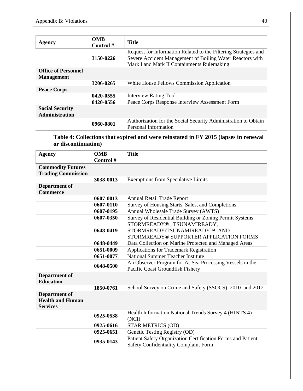| Agency                                          | <b>OMB</b><br>Control# | <b>Title</b>                                                                                                                                                               |
|-------------------------------------------------|------------------------|----------------------------------------------------------------------------------------------------------------------------------------------------------------------------|
|                                                 | 3150-0226              | Request for Information Related to the Filtering Strategies and<br>Severe Accident Management of Boiling Water Reactors with<br>Mark I and Mark II Containments Rulemaking |
| <b>Office of Personnel</b><br><b>Management</b> |                        |                                                                                                                                                                            |
|                                                 | 3206-0265              | White House Fellows Commission Application                                                                                                                                 |
| <b>Peace Corps</b>                              |                        |                                                                                                                                                                            |
|                                                 | 0420-0555              | <b>Interview Rating Tool</b>                                                                                                                                               |
|                                                 | 0420-0556              | Peace Corps Response Interview Assessment Form                                                                                                                             |
| <b>Social Security</b><br><b>Administration</b> |                        |                                                                                                                                                                            |
|                                                 | 0960-0801              | Authorization for the Social Security Administration to Obtain<br>Personal Information                                                                                     |

**Table 4: Collections that expired and were reinstated in FY 2015 (lapses in renewal or discontinuation)**

| <b>Agency</b>             | <b>OMB</b> | <b>Title</b>                                                |
|---------------------------|------------|-------------------------------------------------------------|
|                           | Control#   |                                                             |
| <b>Commodity Futures</b>  |            |                                                             |
| <b>Trading Commission</b> |            |                                                             |
|                           | 3038-0013  | <b>Exemptions from Speculative Limits</b>                   |
| <b>Department of</b>      |            |                                                             |
| <b>Commerce</b>           |            |                                                             |
|                           | 0607-0013  | <b>Annual Retail Trade Report</b>                           |
|                           | 0607-0110  | Survey of Housing Starts, Sales, and Completions            |
|                           | 0607-0195  | Annual Wholesale Trade Survey (AWTS)                        |
|                           | 0607-0350  | Survey of Residential Building or Zoning Permit Systems     |
|                           |            | STORMREADY®, TSUNAMIREADY,                                  |
|                           | 0648-0419  | STORMREADY/TSUNAMIREADY <sup>TM</sup> , AND                 |
|                           |            | STORMREADY® SUPPORTER APPLICATION FORMS                     |
|                           | 0648-0449  | Data Collection on Marine Protected and Managed Areas       |
|                           | 0651-0009  | <b>Applications for Trademark Registration</b>              |
|                           | 0651-0077  | National Summer Teacher Institute                           |
|                           |            | An Observer Program for At-Sea Processing Vessels in the    |
|                           | 0648-0500  | Pacific Coast Groundfish Fishery                            |
| <b>Department of</b>      |            |                                                             |
| <b>Education</b>          |            |                                                             |
|                           | 1850-0761  | School Survey on Crime and Safety (SSOCS), 2010 and 2012    |
| Department of             |            |                                                             |
| <b>Health and Human</b>   |            |                                                             |
| <b>Services</b>           |            |                                                             |
|                           |            | Health Information National Trends Survey 4 (HINTS 4)       |
|                           | 0925-0538  | (NCI)                                                       |
|                           | 0925-0616  | <b>STAR METRICS (OD)</b>                                    |
|                           | 0925-0651  | Genetic Testing Registry (OD)                               |
|                           |            | Patient Safety Organization Certification Forms and Patient |
|                           | 0935-0143  | <b>Safety Confidentiality Complaint Form</b>                |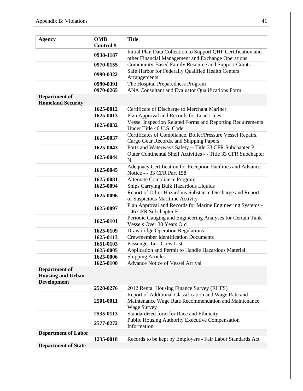| <b>Agency</b>                                                          | <b>OMB</b> | <b>Title</b>                                                                                                                                                                                            |  |  |  |
|------------------------------------------------------------------------|------------|---------------------------------------------------------------------------------------------------------------------------------------------------------------------------------------------------------|--|--|--|
|                                                                        | Control #  |                                                                                                                                                                                                         |  |  |  |
|                                                                        | 0938-1187  | Initial Plan Data Collection to Support QHP Certification and<br>other Financial Management and Exchange Operations                                                                                     |  |  |  |
|                                                                        | 0970-0155  | Community-Based Family Resource and Support Grants                                                                                                                                                      |  |  |  |
|                                                                        | 0990-0322  | Safe Harbor for Federally Qualified Health Centers<br>Arrangements                                                                                                                                      |  |  |  |
|                                                                        | 0990-0391  |                                                                                                                                                                                                         |  |  |  |
|                                                                        |            | The Hospital Preparedness Program                                                                                                                                                                       |  |  |  |
|                                                                        | 0970-0265  | ANA Consultant and Evaluator Qualifications Form                                                                                                                                                        |  |  |  |
| <b>Department of</b><br><b>Homeland Security</b>                       |            |                                                                                                                                                                                                         |  |  |  |
|                                                                        | 1625-0012  | Certificate of Discharge to Merchant Mariner                                                                                                                                                            |  |  |  |
|                                                                        | 1625-0013  | Plan Approval and Records for Load Lines                                                                                                                                                                |  |  |  |
|                                                                        | 1625-0032  | <b>Vessel Inspection Related Forms and Reporting Requirements</b><br>Under Title 46 U.S. Code<br>Certificates of Compliance, Boiler/Pressure Vessel Repairs,<br>Cargo Gear Records, and Shipping Papers |  |  |  |
|                                                                        | 1625-0037  |                                                                                                                                                                                                         |  |  |  |
|                                                                        | 1625-0043  | Ports and Waterways Safety -- Title 33 CFR Subchapter P                                                                                                                                                 |  |  |  |
|                                                                        | 1625-0044  | Outer Continental Shelf Activities - - Title 33 CFR Subchapter<br>N                                                                                                                                     |  |  |  |
|                                                                        | 1625-0045  | Adequacy Certification for Reception Facilities and Advance<br>Notice - - 33 CFR Part 158                                                                                                               |  |  |  |
|                                                                        | 1625-0081  | Alternate Compliance Program<br>Ships Carrying Bulk Hazardous Liquids                                                                                                                                   |  |  |  |
|                                                                        | 1625-0094  |                                                                                                                                                                                                         |  |  |  |
|                                                                        | 1625-0096  | Report of Oil or Hazardous Substance Discharge and Report<br>of Suspicious Maritime Activity                                                                                                            |  |  |  |
|                                                                        | 1625-0097  | Plan Approval and Records for Marine Engineering Systems -<br>-46 CFR Subchapter F                                                                                                                      |  |  |  |
|                                                                        | 1625-0101  | Periodic Gauging and Engineering Analyses for Certain Tank<br>Vessels Over 30 Years Old                                                                                                                 |  |  |  |
|                                                                        | 1625-0109  | <b>Drawbridge Operation Regulations</b>                                                                                                                                                                 |  |  |  |
|                                                                        | 1625-0113  | <b>Crewmember Identification Documents</b>                                                                                                                                                              |  |  |  |
|                                                                        | 1651-0103  | Passenger List-Crew List                                                                                                                                                                                |  |  |  |
|                                                                        | 1625-0005  | Application and Permit to Handle Hazardous Material                                                                                                                                                     |  |  |  |
|                                                                        | 1625-0006  | <b>Shipping Articles</b>                                                                                                                                                                                |  |  |  |
|                                                                        | 1625-0100  | <b>Advance Notice of Vessel Arrival</b>                                                                                                                                                                 |  |  |  |
| <b>Department of</b><br><b>Housing and Urban</b><br><b>Development</b> |            |                                                                                                                                                                                                         |  |  |  |
|                                                                        | 2528-0276  | 2012 Rental Housing Finance Survey (RHFS)                                                                                                                                                               |  |  |  |
|                                                                        |            | Report of Additional Classification and Wage Rate and                                                                                                                                                   |  |  |  |
|                                                                        | 2501-0011  | Maintenance Wage Rate Recommendation and Maintenance<br><b>Wage Survey</b>                                                                                                                              |  |  |  |
|                                                                        | 2535-0113  | Standardized form for Race and Ethnicity                                                                                                                                                                |  |  |  |
|                                                                        | 2577-0272  | Public Housing Authority Executive Compensation<br>Information                                                                                                                                          |  |  |  |
| <b>Department of Labor</b>                                             |            |                                                                                                                                                                                                         |  |  |  |
|                                                                        | 1235-0018  | Records to be kept by Employers - Fair Labor Standards Act                                                                                                                                              |  |  |  |
| <b>Department of State</b>                                             |            |                                                                                                                                                                                                         |  |  |  |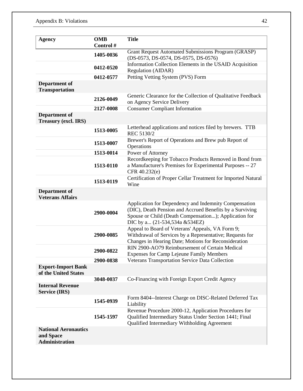| <b>Agency</b>                                              | <b>OMB</b> | <b>Title</b>                                                                                                                                                                                                |  |  |  |  |
|------------------------------------------------------------|------------|-------------------------------------------------------------------------------------------------------------------------------------------------------------------------------------------------------------|--|--|--|--|
|                                                            | Control #  |                                                                                                                                                                                                             |  |  |  |  |
|                                                            | 1405-0036  | Grant Request Automated Submissions Program (GRASP)<br>(DS-0573, DS-0574, DS-0575, DS-0576)                                                                                                                 |  |  |  |  |
|                                                            | 0412-0520  | Information Collection Elements in the USAID Acquisition<br>Regulation (AIDAR)                                                                                                                              |  |  |  |  |
|                                                            | 0412-0577  | Petting Vetting System (PVS) Form                                                                                                                                                                           |  |  |  |  |
| <b>Department of</b><br><b>Transportation</b>              |            |                                                                                                                                                                                                             |  |  |  |  |
|                                                            | 2126-0049  | Generic Clearance for the Collection of Qualitative Feedback<br>on Agency Service Delivery                                                                                                                  |  |  |  |  |
|                                                            | 2127-0008  | <b>Consumer Compliant Information</b>                                                                                                                                                                       |  |  |  |  |
| <b>Department of</b><br><b>Treasury (excl. IRS)</b>        |            |                                                                                                                                                                                                             |  |  |  |  |
|                                                            | 1513-0005  | Letterhead applications and notices filed by brewers. TTB<br>REC 5130/2                                                                                                                                     |  |  |  |  |
|                                                            | 1513-0007  | Brewer's Report of Operations and Brew pub Report of<br>Operations                                                                                                                                          |  |  |  |  |
|                                                            | 1513-0014  | Power of Attorney                                                                                                                                                                                           |  |  |  |  |
|                                                            | 1513-0110  | Recordkeeping for Tobacco Products Removed in Bond from<br>a Manufacturer's Premises for Experimental Purposes -- 27<br>CFR 40.232(e)                                                                       |  |  |  |  |
|                                                            | 1513-0119  | Certification of Proper Cellar Treatment for Imported Natural<br>Wine                                                                                                                                       |  |  |  |  |
| Department of<br><b>Veterans Affairs</b>                   |            |                                                                                                                                                                                                             |  |  |  |  |
|                                                            | 2900-0004  | Application for Dependency and Indemnity Compensation<br>(DIC), Death Pension and Accrued Benefits by a Surviving<br>Spouse or Child (Death Compensation); Application for<br>DIC by a (21-534,534a &534EZ) |  |  |  |  |
|                                                            | 2900-0085  | Appeal to Board of Veterans' Appeals, VA Form 9;<br>Withdrawal of Services by a Representative; Requests for<br>Changes in Hearing Date; Motions for Reconsideration                                        |  |  |  |  |
|                                                            | 2900-0822  | RIN 2900-AO79 Reimbursement of Certain Medical<br><b>Expenses for Camp Lejeune Family Members</b>                                                                                                           |  |  |  |  |
|                                                            | 2900-0838  | Veterans Transportation Service Data Collection                                                                                                                                                             |  |  |  |  |
| <b>Export-Import Bank</b><br>of the United States          |            |                                                                                                                                                                                                             |  |  |  |  |
|                                                            | 3048-0037  | Co-Financing with Foreign Export Credit Agency                                                                                                                                                              |  |  |  |  |
| <b>Internal Revenue</b><br><b>Service (IRS)</b>            |            |                                                                                                                                                                                                             |  |  |  |  |
|                                                            | 1545-0939  | Form 8404--Interest Charge on DISC-Related Deferred Tax<br>Liability                                                                                                                                        |  |  |  |  |
|                                                            | 1545-1597  | Revenue Procedure 2000-12, Application Procedures for<br>Qualified Intermediary Status Under Section 1441; Final<br>Qualified Intermediary Withholding Agreement                                            |  |  |  |  |
| <b>National Aeronautics</b><br>and Space<br>Administration |            |                                                                                                                                                                                                             |  |  |  |  |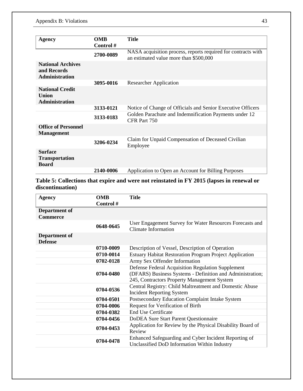| <b>Agency</b>                                                    | <b>OMB</b> | <b>Title</b>                                                                                            |  |  |
|------------------------------------------------------------------|------------|---------------------------------------------------------------------------------------------------------|--|--|
|                                                                  | Control#   |                                                                                                         |  |  |
|                                                                  |            |                                                                                                         |  |  |
|                                                                  | 2700-0089  | NASA acquisition process, reports required for contracts with<br>an estimated value more than \$500,000 |  |  |
| <b>National Archives</b><br>and Records<br><b>Administration</b> |            |                                                                                                         |  |  |
|                                                                  | 3095-0016  | <b>Researcher Application</b>                                                                           |  |  |
| <b>National Credit</b><br>Union<br><b>Administration</b>         |            |                                                                                                         |  |  |
|                                                                  | 3133-0121  | Notice of Change of Officials and Senior Executive Officers                                             |  |  |
|                                                                  | 3133-0183  | Golden Parachute and Indemnification Payments under 12<br>CFR Part 750                                  |  |  |
| <b>Office of Personnel</b><br><b>Management</b>                  |            |                                                                                                         |  |  |
|                                                                  | 3206-0234  | Claim for Unpaid Compensation of Deceased Civilian<br>Employee                                          |  |  |
| <b>Surface</b><br><b>Transportation</b><br><b>Board</b>          |            |                                                                                                         |  |  |
|                                                                  | 2140-0006  | Application to Open an Account for Billing Purposes                                                     |  |  |

**Table 5: Collections that expire and were not reinstated in FY 2015 (lapses in renewal or discontinuation)**

| <b>Agency</b>                    | <b>OMB</b><br>Control # | <b>Title</b>                                                                                                                                                  |  |  |
|----------------------------------|-------------------------|---------------------------------------------------------------------------------------------------------------------------------------------------------------|--|--|
| Department of<br><b>Commerce</b> |                         |                                                                                                                                                               |  |  |
|                                  | 0648-0645               | User Engagement Survey for Water Resources Forecasts and<br><b>Climate Information</b>                                                                        |  |  |
| Department of<br><b>Defense</b>  |                         |                                                                                                                                                               |  |  |
|                                  | 0710-0009               | Description of Vessel, Description of Operation                                                                                                               |  |  |
|                                  | 0710-0014               | <b>Estuary Habitat Restoration Program Project Application</b>                                                                                                |  |  |
|                                  | 0702-0128               | Army Sex Offender Information                                                                                                                                 |  |  |
|                                  | 0704-0480               | Defense Federal Acquisition Regulation Supplement<br>(DFARS) Business Systems - Definition and Administration;<br>245, Contractors Property Management System |  |  |
|                                  | 0704-0536               | Central Registry: Child Maltreatment and Domestic Abuse<br><b>Incident Reporting System</b>                                                                   |  |  |
|                                  | 0704-0501               | Postsecondary Education Complaint Intake System                                                                                                               |  |  |
|                                  | 0704-0006               | Request for Verification of Birth                                                                                                                             |  |  |
|                                  | 0704-0382               | <b>End Use Certificate</b>                                                                                                                                    |  |  |
|                                  | 0704-0456               | DoDEA Sure Start Parent Questionnaire                                                                                                                         |  |  |
|                                  | 0704-0453               | Application for Review by the Physical Disability Board of<br>Review                                                                                          |  |  |
|                                  | 0704-0478               | Enhanced Safeguarding and Cyber Incident Reporting of<br>Unclassified DoD Information Within Industry                                                         |  |  |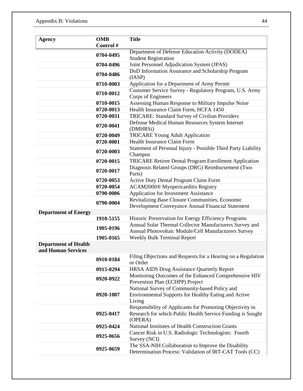| <b>Agency</b>                                     | <b>OMB</b><br>Control # | <b>Title</b>                                                                                                                                                                                                                                                                                                                                      |  |  |
|---------------------------------------------------|-------------------------|---------------------------------------------------------------------------------------------------------------------------------------------------------------------------------------------------------------------------------------------------------------------------------------------------------------------------------------------------|--|--|
|                                                   |                         | Department of Defense Education Activity (DODEA)                                                                                                                                                                                                                                                                                                  |  |  |
|                                                   | 0704-0495               | <b>Student Registration</b>                                                                                                                                                                                                                                                                                                                       |  |  |
|                                                   | 0704-0496               | Joint Personnel Adjudication System (JPAS)                                                                                                                                                                                                                                                                                                        |  |  |
|                                                   |                         | DoD Information Assurance and Scholarship Program                                                                                                                                                                                                                                                                                                 |  |  |
|                                                   | 0704-0486               | (IASP)                                                                                                                                                                                                                                                                                                                                            |  |  |
|                                                   | 0710-0003               | Application for a Department of Army Permit                                                                                                                                                                                                                                                                                                       |  |  |
|                                                   | 0710-0012               | Customer Service Survey - Regulatory Program, U.S. Army<br>Corps of Engineers                                                                                                                                                                                                                                                                     |  |  |
|                                                   | 0710-0015               | Assessing Human Response to Military Impulse Noise                                                                                                                                                                                                                                                                                                |  |  |
|                                                   | 0720-0013               | Health Insurance Claim Form, HCFA 1450                                                                                                                                                                                                                                                                                                            |  |  |
|                                                   | 0720-0031               | TRICARE: Standard Survey of Civilian Providers                                                                                                                                                                                                                                                                                                    |  |  |
|                                                   | 0720-0041               | Defense Medical Human Resources System Internet<br>(DMHRSi)                                                                                                                                                                                                                                                                                       |  |  |
|                                                   | 0720-0049               | <b>TRICARE Young Adult Application</b>                                                                                                                                                                                                                                                                                                            |  |  |
|                                                   | 0720-0001               | Health Insurance Claim Form                                                                                                                                                                                                                                                                                                                       |  |  |
|                                                   | 0720-0003               | Statement of Personal Injury - Possible Third Party Liability<br>Champus                                                                                                                                                                                                                                                                          |  |  |
|                                                   | 0720-0015               | TRICARE Retiree Dental Program Enrollment Application                                                                                                                                                                                                                                                                                             |  |  |
|                                                   | 0720-0017               | Diagnosis Related Groups (DRG) Reimbursement (Two<br>Parts)                                                                                                                                                                                                                                                                                       |  |  |
|                                                   | 0720-0053               | Active Duty Dental Program Claim Form                                                                                                                                                                                                                                                                                                             |  |  |
|                                                   | 0720-0054               | ACAM2000® Myopericarditis Registry                                                                                                                                                                                                                                                                                                                |  |  |
|                                                   | 0790-0006               | Application for Investment Assistance                                                                                                                                                                                                                                                                                                             |  |  |
| <b>Department of Energy</b>                       | 0790-0004               | Revitalizing Base Closure Communities, Economic<br>Development Conveyance Annual Financial Statement                                                                                                                                                                                                                                              |  |  |
|                                                   | 1910-5155               | Historic Preservation for Energy Efficiency Programs                                                                                                                                                                                                                                                                                              |  |  |
|                                                   | 1905-0196               | Annual Solar Thermal Collector Manufacturers Survey and<br>Annual Photovoltaic Module/Cell Manufacturers Survey                                                                                                                                                                                                                                   |  |  |
|                                                   | 1905-0165               | Weekly Bulk Terminal Report                                                                                                                                                                                                                                                                                                                       |  |  |
| <b>Department of Health</b><br>and Human Services |                         |                                                                                                                                                                                                                                                                                                                                                   |  |  |
|                                                   | 0910-0184               | Filing Objections and Requests for a Hearing on a Regulation<br>or Order                                                                                                                                                                                                                                                                          |  |  |
|                                                   | 0915-0294               | <b>HRSA AIDS Drug Assistance Quarterly Report</b>                                                                                                                                                                                                                                                                                                 |  |  |
|                                                   | 0920-0922               | Monitoring Outcomes of the Enhanced Comprehensive HIV<br>Prevention Plan (ECHPP) Project<br>National Survey of Community-based Policy and<br>Environmental Supports for Healthy Eating and Active<br>Living<br>Responsibility of Applicants for Promoting Objectivity in<br>Research for which Public Health Service Funding is Sought<br>(OPERA) |  |  |
|                                                   | 0920-1007               |                                                                                                                                                                                                                                                                                                                                                   |  |  |
|                                                   | 0925-0417               |                                                                                                                                                                                                                                                                                                                                                   |  |  |
|                                                   | 0925-0424               | National Institutes of Health Construction Grants                                                                                                                                                                                                                                                                                                 |  |  |
|                                                   | 0925-0656               | Cancer Risk in U.S. Radiologic Technologists: Fourth<br>Survey (NCI)                                                                                                                                                                                                                                                                              |  |  |
|                                                   | 0925-0659               | The SSA-NIH Collaboration to Improve the Disability<br>Determination Process: Validation of IRT-CAT Tools (CC)                                                                                                                                                                                                                                    |  |  |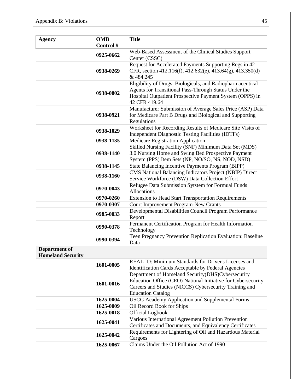| <b>Agency</b>                                    | <b>OMB</b><br>Control #                                 | <b>Title</b>                                                                                                                                                                                            |  |  |  |
|--------------------------------------------------|---------------------------------------------------------|---------------------------------------------------------------------------------------------------------------------------------------------------------------------------------------------------------|--|--|--|
|                                                  | 0925-0662                                               | Web-Based Assessment of the Clinical Studies Support<br>Center (CSSC)                                                                                                                                   |  |  |  |
|                                                  | 0938-0269                                               | Request for Accelerated Payments Supporting Regs in 42<br>CFR, section 412.116(f), 412.632(e), 413.64(g), 413.350(d)<br>& 484.245                                                                       |  |  |  |
|                                                  | 0938-0802                                               | Eligibility of Drugs, Biologicals, and Radiopharmaceutical<br>Agents for Transitional Pass-Through Status Under the<br>Hospital Outpatient Prospective Payment System (OPPS) in<br>42 CFR 419.64        |  |  |  |
|                                                  | 0938-0921                                               | Manufacturer Submission of Average Sales Price (ASP) Data<br>for Medicare Part B Drugs and Biological and Supporting<br>Regulations                                                                     |  |  |  |
|                                                  | 0938-1029                                               | Worksheet for Recording Results of Medicare Site Visits of<br><b>Independent Diagnostic Testing Facilities (IDTFs)</b>                                                                                  |  |  |  |
|                                                  | 0938-1135                                               | <b>Medicare Registration Application</b>                                                                                                                                                                |  |  |  |
|                                                  | 0938-1140                                               | Skilled Nursing Facility (SNF) Minimum Data Set (MDS)<br>3.0 Nursing Home and Swing Bed Prospective Payment<br>System (PPS) Item Sets (NP, NO/SO, NS, NOD, NSD)                                         |  |  |  |
|                                                  | 0938-1145                                               | State Balancing Incentive Payments Program (BIPP)<br>CMS National Balancing Indicators Project (NBIP) Direct<br>Service Workforce (DSW) Data Collection Effort                                          |  |  |  |
|                                                  | 0938-1160                                               |                                                                                                                                                                                                         |  |  |  |
|                                                  | 0970-0043                                               | Refugee Data Submission Sytstem for Formual Funds<br>Allocations                                                                                                                                        |  |  |  |
|                                                  | 0970-0260                                               | <b>Extension to Head Start Transportation Requirements</b>                                                                                                                                              |  |  |  |
|                                                  | 0970-0307                                               | Court Improvement Program-New Grants                                                                                                                                                                    |  |  |  |
|                                                  | 0985-0033                                               | Developmental Disabilities Council Program Performance<br>Report                                                                                                                                        |  |  |  |
|                                                  | 0990-0378                                               | Permanent Certification Program for Health Information<br>Technology                                                                                                                                    |  |  |  |
|                                                  | 0990-0394                                               | Teen Pregnancy Prevention Replication Evaluation: Baseline<br>Data                                                                                                                                      |  |  |  |
| <b>Department of</b><br><b>Homeland Security</b> |                                                         |                                                                                                                                                                                                         |  |  |  |
|                                                  | 1601-0005                                               | REAL ID: Minimum Standards for Driver's Licenses and<br>Identification Cards Acceptable by Federal Agencies                                                                                             |  |  |  |
|                                                  | 1601-0016                                               | Department of Homeland Security(DHS)Cybersecurity<br>Education Office (CEO) National Initiative for Cybersecurity<br>Careers and Studies (NICCS) Cybersecurity Training and<br><b>Education Catalog</b> |  |  |  |
|                                                  | 1625-0004                                               | USCG Academy Application and Supplemental Forms                                                                                                                                                         |  |  |  |
|                                                  | 1625-0009                                               | Oil Record Book for Ships                                                                                                                                                                               |  |  |  |
|                                                  | 1625-0018                                               | <b>Official Logbook</b>                                                                                                                                                                                 |  |  |  |
|                                                  | 1625-0041                                               | Various International Agreement Pollution Prevention<br>Certificates and Documents, and Equivalency Certificates                                                                                        |  |  |  |
|                                                  | 1625-0042                                               | Requirements for Lightering of Oil and Hazardous Material<br>Cargoes                                                                                                                                    |  |  |  |
|                                                  | Claims Under the Oil Pollution Act of 1990<br>1625-0067 |                                                                                                                                                                                                         |  |  |  |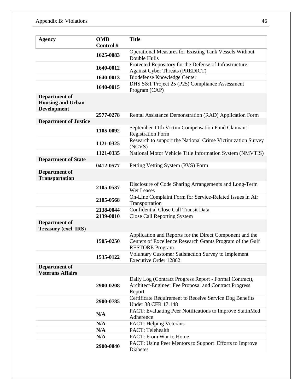| <b>Agency</b>                                                   | <b>OMB</b><br>Control# | <b>Title</b>                                                                                                                                    |  |  |
|-----------------------------------------------------------------|------------------------|-------------------------------------------------------------------------------------------------------------------------------------------------|--|--|
|                                                                 | 1625-0083              | <b>Operational Measures for Existing Tank Vessels Without</b><br>Double Hulls                                                                   |  |  |
|                                                                 | 1640-0012              | Protected Repository for the Defense of Infrastructure<br>Against Cyber Threats (PREDICT)                                                       |  |  |
|                                                                 | 1640-0013              | Biodefense Knowledge Center                                                                                                                     |  |  |
|                                                                 | 1640-0015              | DHS S&T Project 25 (P25) Compliance Assessment<br>Program (CAP)                                                                                 |  |  |
| Department of<br><b>Housing and Urban</b><br><b>Development</b> |                        |                                                                                                                                                 |  |  |
|                                                                 | 2577-0278              | Rental Assistance Demonstration (RAD) Application Form                                                                                          |  |  |
| <b>Department of Justice</b>                                    | 1105-0092              | September 11th Victim Compensation Fund Claimant                                                                                                |  |  |
|                                                                 |                        | <b>Registration Form</b>                                                                                                                        |  |  |
|                                                                 | 1121-0325              | Research to support the National Crime Victimization Survey<br>(NCVS)                                                                           |  |  |
|                                                                 | 1121-0335              | National Motor Vehicle Title Information System (NMVTIS)                                                                                        |  |  |
| <b>Department of State</b>                                      |                        |                                                                                                                                                 |  |  |
|                                                                 | 0412-0577              | Petting Vetting System (PVS) Form                                                                                                               |  |  |
| <b>Department of</b><br><b>Transportation</b>                   |                        |                                                                                                                                                 |  |  |
|                                                                 | 2105-0537              | Disclosure of Code Sharing Arrangements and Long-Term<br>Wet Leases                                                                             |  |  |
|                                                                 | 2105-0568              | On-Line Complaint Form for Service-Related Issues in Air<br>Transportation                                                                      |  |  |
|                                                                 | 2138-0044              | Confidential Close Call Transit Data                                                                                                            |  |  |
|                                                                 | 2139-0010              | <b>Close Call Reporting System</b>                                                                                                              |  |  |
| <b>Department of</b><br><b>Treasury (excl. IRS)</b>             |                        |                                                                                                                                                 |  |  |
|                                                                 | 1505-0250              | Application and Reports for the Direct Component and the<br>Centers of Excellence Research Grants Program of the Gulf<br><b>RESTORE Program</b> |  |  |
|                                                                 | 1535-0122              | Voluntary Customer Satisfaction Survey to Implement<br>Executive Order 12862                                                                    |  |  |
| Department of<br><b>Veterans Affairs</b>                        |                        |                                                                                                                                                 |  |  |
|                                                                 | 2900-0208              | Daily Log (Contract Progress Report - Formal Contract),<br>Architect-Engineer Fee Proposal and Contract Progress<br>Report                      |  |  |
|                                                                 | 2900-0785              | Certificate Requirement to Receive Service Dog Benefits<br>Under 38 CFR 17.148                                                                  |  |  |
|                                                                 | N/A                    | PACT: Evaluating Peer Notifications to Improve StatinMed<br>Adherence                                                                           |  |  |
|                                                                 | N/A                    | PACT: Helping Veterans                                                                                                                          |  |  |
|                                                                 | N/A                    | PACT: Telehealth                                                                                                                                |  |  |
|                                                                 | N/A                    | PACT: From War to Home                                                                                                                          |  |  |
|                                                                 | 2900-0840              | PACT: Using Peer Mentors to Support Efforts to Improve<br><b>Diabetes</b>                                                                       |  |  |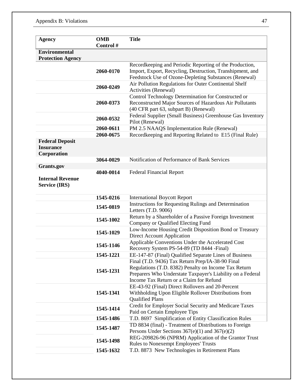| <b>Agency</b>                                             | <b>OMB</b><br>Control # | <b>Title</b>                                                                                                                                                                                                      |  |  |
|-----------------------------------------------------------|-------------------------|-------------------------------------------------------------------------------------------------------------------------------------------------------------------------------------------------------------------|--|--|
| <b>Environmental</b><br><b>Protection Agency</b>          |                         |                                                                                                                                                                                                                   |  |  |
|                                                           | 2060-0170               | Recordkeeping and Periodic Reporting of the Production,<br>Import, Export, Recycling, Destruction, Transhipment, and<br>Feedstock Use of Ozone-Depleting Substances (Renewal)                                     |  |  |
|                                                           | 2060-0249               | Air Pollution Regulations for Outer Continental Shelf<br>Activities (Renewal)                                                                                                                                     |  |  |
|                                                           | 2060-0373               | Control Technology Determination for Constructed or<br>Reconstructed Major Sources of Hazardous Air Pollutants<br>(40 CFR part 63, subpart B) (Renewal)                                                           |  |  |
|                                                           | 2060-0532               | Federal Supplier (Small Business) Greenhouse Gas Inventory<br>Pilot (Renewal)                                                                                                                                     |  |  |
|                                                           | 2060-0611               | PM 2.5 NAAQS Implementation Rule (Renewal)                                                                                                                                                                        |  |  |
|                                                           | 2060-0675               | Recordkeeping and Reporting Related to E15 (Final Rule)                                                                                                                                                           |  |  |
| <b>Federal Deposit</b><br><b>Insurance</b><br>Corporation |                         |                                                                                                                                                                                                                   |  |  |
|                                                           | 3064-0029               | Notification of Performance of Bank Services                                                                                                                                                                      |  |  |
| <b>Grants.gov</b>                                         |                         |                                                                                                                                                                                                                   |  |  |
| <b>Internal Revenue</b><br><b>Service (IRS)</b>           | 4040-0014               | <b>Federal Financial Report</b>                                                                                                                                                                                   |  |  |
|                                                           | 1545-0216               | <b>International Boycott Report</b>                                                                                                                                                                               |  |  |
|                                                           | 1545-0819               | Instructions for Requesting Rulings and Determination<br>Letters (T.D. 9006)                                                                                                                                      |  |  |
|                                                           | 1545-1002               | Return by a Shareholder of a Passive Foreign Investment<br>Company or Qualified Electing Fund                                                                                                                     |  |  |
|                                                           | 1545-1029               | Low-Income Housing Credit Disposition Bond or Treasury<br><b>Direct Account Application</b>                                                                                                                       |  |  |
|                                                           | 1545-1146               | Applicable Conventions Under the Accelerated Cost<br>Recovery System PS-54-89 (TD 8444 -Final)                                                                                                                    |  |  |
|                                                           | 1545-1221               | EE-147-87 (Final) Qualified Separate Lines of Business                                                                                                                                                            |  |  |
|                                                           | 1545-1231               | Final (T.D. 9436) Tax Return Prep/IA-38-90 Final<br>Regulations (T.D. 8382) Penalty on Income Tax Return<br>Preparers Who Understate Taxpayer's Liability on a Federal<br>Income Tax Return or a Claim for Refund |  |  |
|                                                           | 1545-1341               | EE-43-92 (Final) Direct Rollovers and 20-Percent<br>Withholding Upon Eligible Rollover Distributions from<br><b>Qualified Plans</b>                                                                               |  |  |
|                                                           | 1545-1414               | Credit for Employer Social Security and Medicare Taxes<br>Paid on Certain Employee Tips                                                                                                                           |  |  |
|                                                           | 1545-1486               | T.D. 8697 Simplification of Entity Classification Rules                                                                                                                                                           |  |  |
|                                                           | 1545-1487               | TD 8834 (final) - Treatment of Distributions to Foreign<br>Persons Under Sections $367(e)(1)$ and $367(e)(2)$                                                                                                     |  |  |
|                                                           | 1545-1498               | REG-209826-96 (NPRM) Application of the Grantor Trust<br><b>Rules to Nonexempt Employees' Trusts</b>                                                                                                              |  |  |
|                                                           | 1545-1632               | T.D. 8873 New Technologies in Retirement Plans                                                                                                                                                                    |  |  |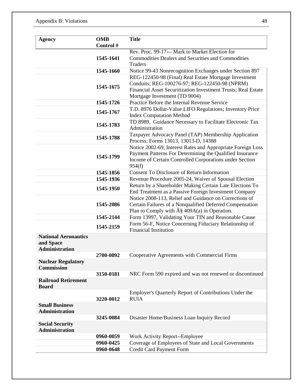#### Appendix B: Violations 48

| <b>Agency</b>               | <b>OMB</b> | <b>Title</b>                                                                                                      |  |  |  |  |
|-----------------------------|------------|-------------------------------------------------------------------------------------------------------------------|--|--|--|--|
|                             | Control #  |                                                                                                                   |  |  |  |  |
|                             |            | Rev. Proc. 99-17--- Mark to Market Election for                                                                   |  |  |  |  |
|                             | 1545-1641  | <b>Commodities Dealers and Securities and Commodities</b>                                                         |  |  |  |  |
|                             |            | <b>Traders</b>                                                                                                    |  |  |  |  |
|                             | 1545-1660  | Notice 99-43 Nonrecognition Exchanges under Section 897                                                           |  |  |  |  |
|                             |            | REG-122450-98 (Final) Real Estate Mortgage Investment                                                             |  |  |  |  |
|                             | 1545-1675  | Conduits; REG-100276-97; REG-122450-98 (NPRM)                                                                     |  |  |  |  |
|                             |            | Financial Asset Securitization Investment Trusts; Real Estate                                                     |  |  |  |  |
|                             |            | Mortgage Investment (TD 9004)                                                                                     |  |  |  |  |
|                             | 1545-1726  | Practice Before the Internal Revenue Service                                                                      |  |  |  |  |
|                             | 1545-1767  | T.D. 8976 Dollar-Value LIFO Regulations; Inventory Price                                                          |  |  |  |  |
|                             |            | <b>Index Computation Method</b>                                                                                   |  |  |  |  |
|                             | 1545-1783  | TD 8989, Guidance Necessary to Facilitate Electronic Tax                                                          |  |  |  |  |
|                             |            | Administration                                                                                                    |  |  |  |  |
|                             | 1545-1788  | Taxpayer Advocacy Panel (TAP) Membership Application<br>Process; Forms 13013, 13013-D, 14388                      |  |  |  |  |
|                             |            | Notice 2002-69, Interest Rates and Appropriate Foreign Loss                                                       |  |  |  |  |
|                             |            | Payment Patterns For Determining the Qualified Insurance                                                          |  |  |  |  |
|                             | 1545-1799  | Income of Certain Controlled Corporations under Section                                                           |  |  |  |  |
|                             |            | 954(f)                                                                                                            |  |  |  |  |
|                             | 1545-1856  | <b>Consent To Disclosure of Return Information</b>                                                                |  |  |  |  |
|                             | 1545-1936  | Revenue Procedure 2005-24, Waiver of Spousal Election<br>Return by a Shareholder Making Certain Late Elections To |  |  |  |  |
|                             | 1545-1950  |                                                                                                                   |  |  |  |  |
|                             |            | End Treatment as a Passive Foreign Investment Company                                                             |  |  |  |  |
|                             |            | Notice 2008-113, Relief and Guidance on Corrections of                                                            |  |  |  |  |
|                             | 1545-2086  | Certain Failures of a Nonqualified Deferred Compensation                                                          |  |  |  |  |
|                             |            | Plan to Comply with $\hat{A}\$ 409A(a) in Operation.                                                              |  |  |  |  |
|                             | 1545-2144  | Form 13997, Validating Your TIN and Reasonable Cause                                                              |  |  |  |  |
|                             | 1545-2159  | Form 56-F, Notice Concerning Fiduciary Relationship of<br><b>Financial Institution</b>                            |  |  |  |  |
| <b>National Aeronautics</b> |            |                                                                                                                   |  |  |  |  |
| and Space                   |            |                                                                                                                   |  |  |  |  |
| <b>Administration</b>       |            |                                                                                                                   |  |  |  |  |
|                             | 2700-0092  | Cooperative Agreements with Commercial Firms                                                                      |  |  |  |  |
| <b>Nuclear Regulatory</b>   |            |                                                                                                                   |  |  |  |  |
| <b>Commission</b>           |            |                                                                                                                   |  |  |  |  |
|                             | 3150-0181  | NRC Form 590 expired and was not renewed or discontinued                                                          |  |  |  |  |
| <b>Railroad Retirement</b>  |            |                                                                                                                   |  |  |  |  |
| <b>Board</b>                |            | Employer's Quarterly Report of Contributions Under the                                                            |  |  |  |  |
|                             | 3220-0012  | <b>RUIA</b>                                                                                                       |  |  |  |  |
| <b>Small Business</b>       |            |                                                                                                                   |  |  |  |  |
| <b>Administration</b>       |            |                                                                                                                   |  |  |  |  |
|                             | 3245-0084  | Disaster Home/Business Loan Inquiry Record                                                                        |  |  |  |  |
| <b>Social Security</b>      |            |                                                                                                                   |  |  |  |  |
| <b>Administration</b>       |            |                                                                                                                   |  |  |  |  |
|                             | 0960-0059  | Work Activity Report--Employee                                                                                    |  |  |  |  |
|                             | 0960-0425  | Coverage of Employees of State and Local Governments                                                              |  |  |  |  |
|                             | 0960-0648  | Credit Card Payment Form                                                                                          |  |  |  |  |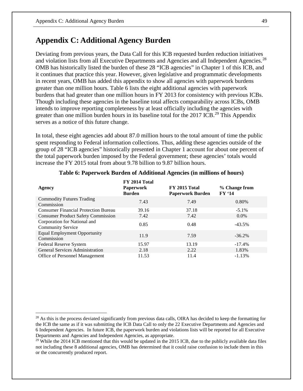## **Appendix C: Additional Agency Burden**

Deviating from previous years, the Data Call for this ICB requested burden reduction initiatives and violation lists from all Executive Departments and Agencies and all Independent Agencies.<sup>[28](#page-53-0)</sup> OMB has historically listed the burden of these 28 "ICB agencies" in Chapter 1 of this ICB, and it continues that practice this year. However, given legislative and programmatic developments in recent years, OMB has added this appendix to show all agencies with paperwork burdens greater than one million hours. Table 6 lists the eight additional agencies with paperwork burdens that had greater than one million hours in FY 2013 for consistency with previous ICBs. Though including these agencies in the baseline total affects comparability across ICBs, OMB intends to improve reporting completeness by at least officially including the agencies with greater than one million burden hours in its baseline total for the 2017 ICB.<sup>29</sup> This Appendix serves as a notice of this future change.

In total, these eight agencies add about 87.0 million hours to the total amount of time the public spent responding to Federal information collections. Thus, adding these agencies outside of the group of 28 "ICB agencies" historically presented in Chapter 1 account for about one percent of the total paperwork burden imposed by the Federal government; these agencies' totals would increase the FY 2015 total from about 9.78 billion to 9.87 billion hours.

| Agency                                                   | FY 2014 Total<br><b>Paperwork</b><br><b>Burden</b> | <b>FY 2015 Total</b><br><b>Paperwork Burden</b> | % Change from<br><b>FY '14</b> |
|----------------------------------------------------------|----------------------------------------------------|-------------------------------------------------|--------------------------------|
| <b>Commodity Futures Trading</b><br>Commission           | 7.43                                               | 7.49                                            | 0.80%                          |
| <b>Consumer Financial Protection Bureau</b>              | 39.16                                              | 37.18                                           | $-5.1\%$                       |
| <b>Consumer Product Safety Commission</b>                | 7.42                                               | 7.42                                            | $0.0\%$                        |
| Corporation for National and<br><b>Community Service</b> | 0.85                                               | 0.48                                            | $-43.5\%$                      |
| <b>Equal Employment Opportunity</b><br>Commission        | 11.9                                               | 7.59                                            | $-36.2%$                       |
| Federal Reserve System                                   | 15.97                                              | 13.19                                           | $-17.4%$                       |
| <b>General Services Administration</b>                   | 2.18                                               | 2.22                                            | 1.83%                          |
| <b>Office of Personnel Management</b>                    | 11.53                                              | 11.4                                            | $-1.13%$                       |

#### **Table 6: Paperwork Burden of Additional Agencies (in millions of hours)**

<span id="page-53-0"></span><sup>&</sup>lt;sup>28</sup> As this is the process deviated significantly from previous data calls, OIRA has decided to keep the formatting for the ICB the same as if it was submitting the ICB Data Call to only the 22 Executive Departments and Agencies and 6 Independent Agencies. In future ICB, the paperwork burden and violations lists will be reported for all Executive Departments and Agencies and Independent Agencies, as appropriate.

<span id="page-53-1"></span> $29$  While the 2014 ICB mentioned that this would be updated in the 2015 ICB, due to the publicly available data files not including these 8 additional agencies, OMB has determined that it could raise confusion to include them in this or the concurrently produced report.